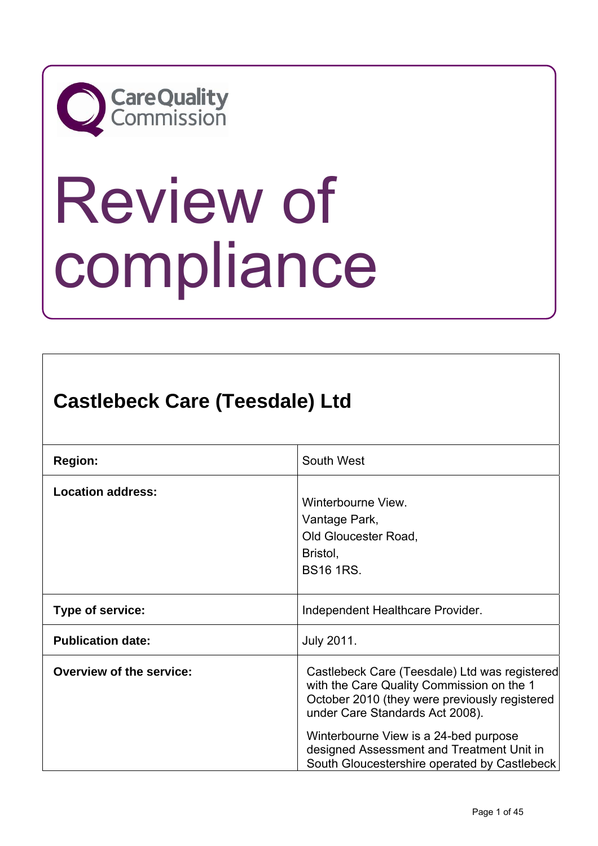

# Review of compliance

# **Castlebeck Care (Teesdale) Ltd**

| <b>Region:</b>                  | South West                                                                                                                                                                                                                                                                                                           |
|---------------------------------|----------------------------------------------------------------------------------------------------------------------------------------------------------------------------------------------------------------------------------------------------------------------------------------------------------------------|
| <b>Location address:</b>        | Winterbourne View.<br>Vantage Park,<br>Old Gloucester Road,<br>Bristol,<br><b>BS16 1RS.</b>                                                                                                                                                                                                                          |
| Type of service:                | Independent Healthcare Provider.                                                                                                                                                                                                                                                                                     |
| <b>Publication date:</b>        | <b>July 2011.</b>                                                                                                                                                                                                                                                                                                    |
| <b>Overview of the service:</b> | Castlebeck Care (Teesdale) Ltd was registered<br>with the Care Quality Commission on the 1<br>October 2010 (they were previously registered<br>under Care Standards Act 2008).<br>Winterbourne View is a 24-bed purpose<br>designed Assessment and Treatment Unit in<br>South Gloucestershire operated by Castlebeck |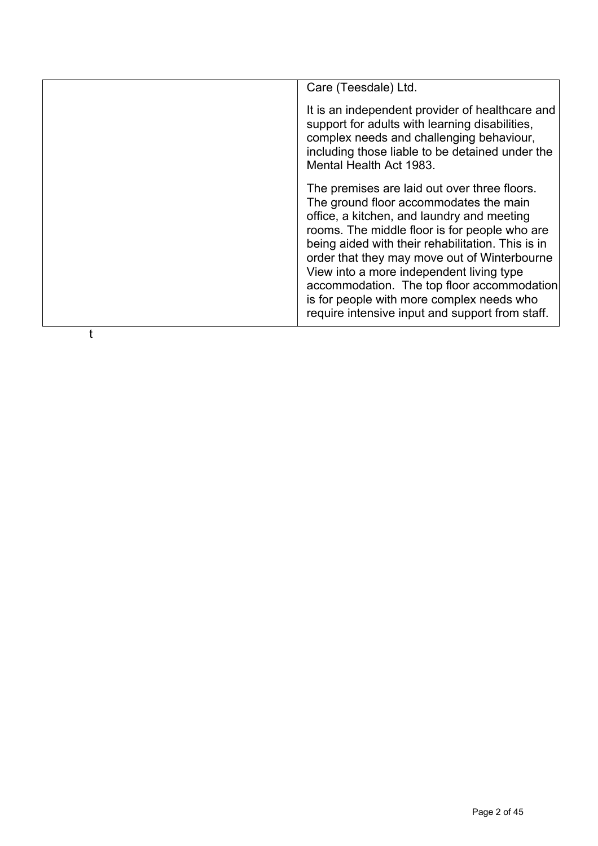| Care (Teesdale) Ltd.                                                                                                                                                                                                                                                                                                                                                                                                                                                                 |
|--------------------------------------------------------------------------------------------------------------------------------------------------------------------------------------------------------------------------------------------------------------------------------------------------------------------------------------------------------------------------------------------------------------------------------------------------------------------------------------|
| It is an independent provider of healthcare and<br>support for adults with learning disabilities,<br>complex needs and challenging behaviour,<br>including those liable to be detained under the<br>Mental Health Act 1983.                                                                                                                                                                                                                                                          |
| The premises are laid out over three floors.<br>The ground floor accommodates the main<br>office, a kitchen, and laundry and meeting<br>rooms. The middle floor is for people who are<br>being aided with their rehabilitation. This is in<br>order that they may move out of Winterbourne<br>View into a more independent living type<br>accommodation. The top floor accommodation<br>is for people with more complex needs who<br>require intensive input and support from staff. |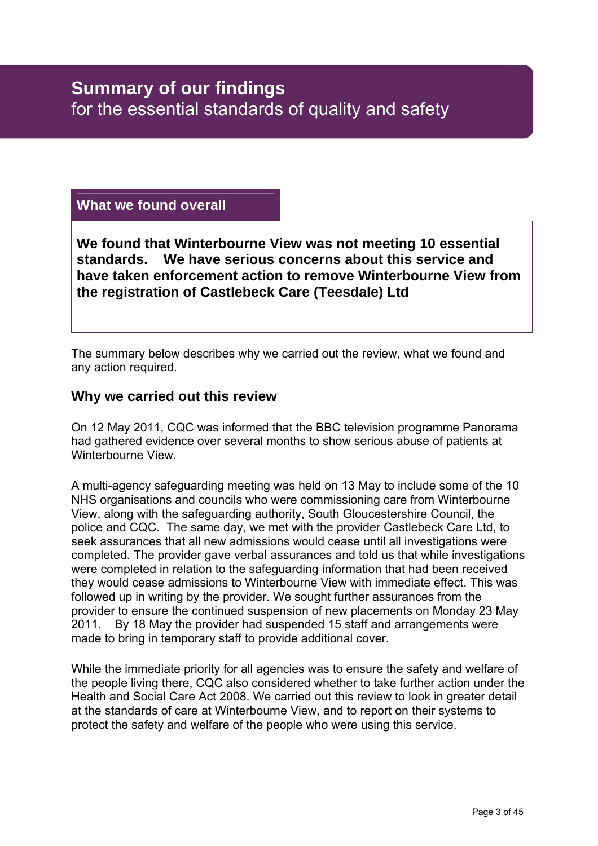# **What we found overall**

**We found that Winterbourne View was not meeting 10 essential standards. We have serious concerns about this service and have taken enforcement action to remove Winterbourne View from the registration of Castlebeck Care (Teesdale) Ltd** 

The summary below describes why we carried out the review, what we found and any action required.

# **Why we carried out this review**

On 12 May 2011, CQC was informed that the BBC television programme Panorama had gathered evidence over several months to show serious abuse of patients at Winterbourne View.

A multi-agency safeguarding meeting was held on 13 May to include some of the 10 NHS organisations and councils who were commissioning care from Winterbourne View, along with the safeguarding authority, South Gloucestershire Council, the police and CQC. The same day, we met with the provider Castlebeck Care Ltd, to seek assurances that all new admissions would cease until all investigations were completed. The provider gave verbal assurances and told us that while investigations were completed in relation to the safeguarding information that had been received they would cease admissions to Winterbourne View with immediate effect. This was followed up in writing by the provider. We sought further assurances from the provider to ensure the continued suspension of new placements on Monday 23 May 2011. By 18 May the provider had suspended 15 staff and arrangements were made to bring in temporary staff to provide additional cover.

While the immediate priority for all agencies was to ensure the safety and welfare of the people living there, CQC also considered whether to take further action under the Health and Social Care Act 2008. We carried out this review to look in greater detail at the standards of care at Winterbourne View, and to report on their systems to protect the safety and welfare of the people who were using this service.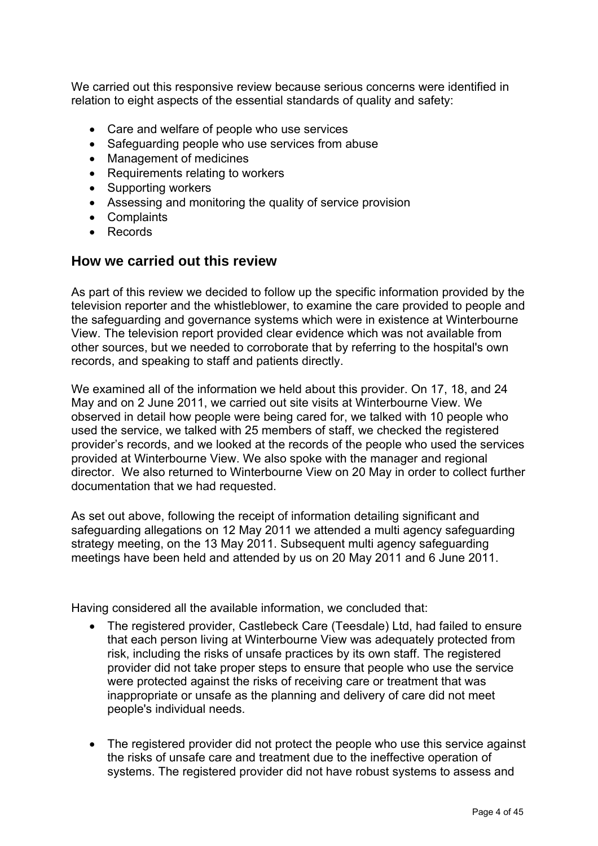We carried out this responsive review because serious concerns were identified in relation to eight aspects of the essential standards of quality and safety:

- Care and welfare of people who use services
- Safeguarding people who use services from abuse
- Management of medicines
- Requirements relating to workers
- Supporting workers
- Assessing and monitoring the quality of service provision
- Complaints
- Records

## **How we carried out this review**

As part of this review we decided to follow up the specific information provided by the television reporter and the whistleblower, to examine the care provided to people and the safeguarding and governance systems which were in existence at Winterbourne View. The television report provided clear evidence which was not available from other sources, but we needed to corroborate that by referring to the hospital's own records, and speaking to staff and patients directly.

We examined all of the information we held about this provider. On 17, 18, and 24 May and on 2 June 2011, we carried out site visits at Winterbourne View. We observed in detail how people were being cared for, we talked with 10 people who used the service, we talked with 25 members of staff, we checked the registered provider's records, and we looked at the records of the people who used the services provided at Winterbourne View. We also spoke with the manager and regional director. We also returned to Winterbourne View on 20 May in order to collect further documentation that we had requested.

As set out above, following the receipt of information detailing significant and safeguarding allegations on 12 May 2011 we attended a multi agency safeguarding strategy meeting, on the 13 May 2011. Subsequent multi agency safeguarding meetings have been held and attended by us on 20 May 2011 and 6 June 2011.

Having considered all the available information, we concluded that:

- The registered provider, Castlebeck Care (Teesdale) Ltd, had failed to ensure that each person living at Winterbourne View was adequately protected from risk, including the risks of unsafe practices by its own staff. The registered provider did not take proper steps to ensure that people who use the service were protected against the risks of receiving care or treatment that was inappropriate or unsafe as the planning and delivery of care did not meet people's individual needs.
- The registered provider did not protect the people who use this service against the risks of unsafe care and treatment due to the ineffective operation of systems. The registered provider did not have robust systems to assess and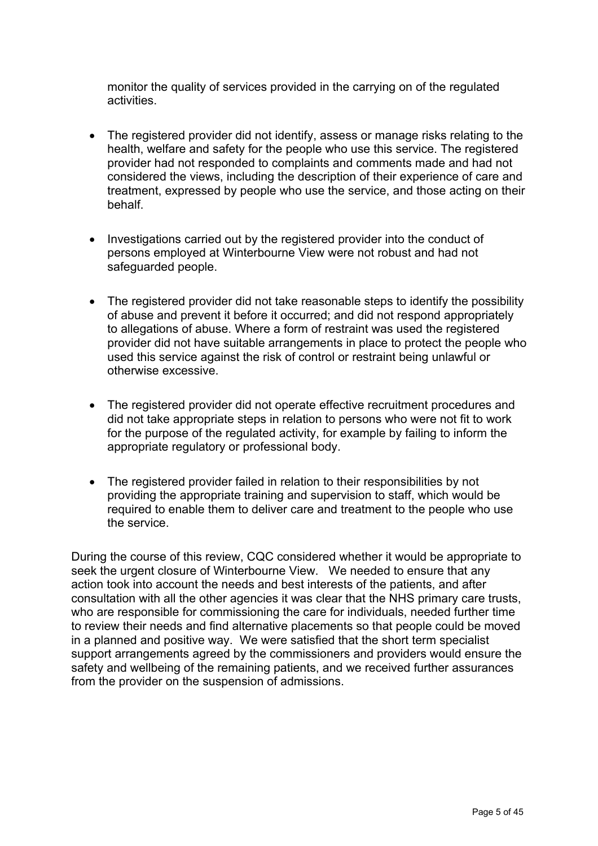monitor the quality of services provided in the carrying on of the regulated activities.

- The registered provider did not identify, assess or manage risks relating to the health, welfare and safety for the people who use this service. The registered provider had not responded to complaints and comments made and had not considered the views, including the description of their experience of care and treatment, expressed by people who use the service, and those acting on their behalf.
- Investigations carried out by the registered provider into the conduct of persons employed at Winterbourne View were not robust and had not safeguarded people.
- The registered provider did not take reasonable steps to identify the possibility of abuse and prevent it before it occurred; and did not respond appropriately to allegations of abuse. Where a form of restraint was used the registered provider did not have suitable arrangements in place to protect the people who used this service against the risk of control or restraint being unlawful or otherwise excessive.
- The registered provider did not operate effective recruitment procedures and did not take appropriate steps in relation to persons who were not fit to work for the purpose of the regulated activity, for example by failing to inform the appropriate regulatory or professional body.
- The registered provider failed in relation to their responsibilities by not providing the appropriate training and supervision to staff, which would be required to enable them to deliver care and treatment to the people who use the service.

During the course of this review, CQC considered whether it would be appropriate to seek the urgent closure of Winterbourne View. We needed to ensure that any action took into account the needs and best interests of the patients, and after consultation with all the other agencies it was clear that the NHS primary care trusts, who are responsible for commissioning the care for individuals, needed further time to review their needs and find alternative placements so that people could be moved in a planned and positive way. We were satisfied that the short term specialist support arrangements agreed by the commissioners and providers would ensure the safety and wellbeing of the remaining patients, and we received further assurances from the provider on the suspension of admissions.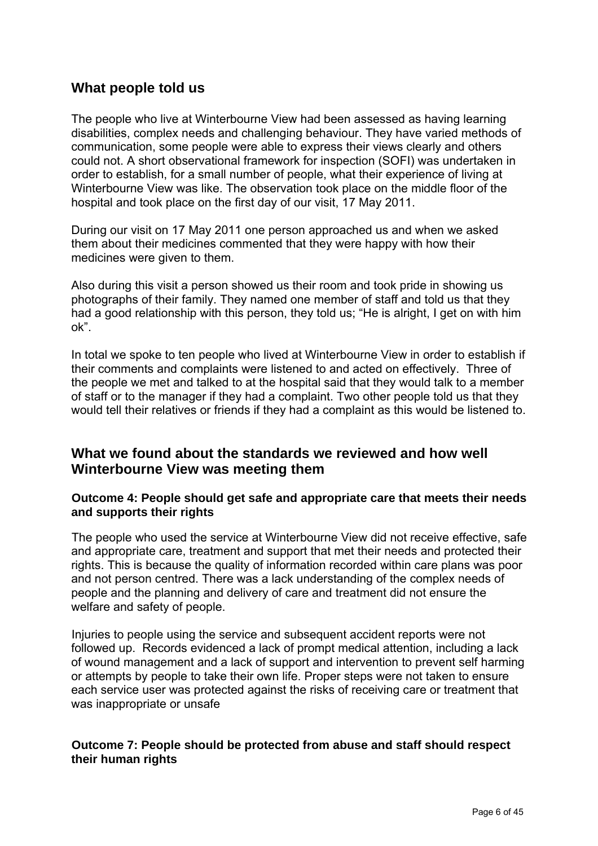# **What people told us**

The people who live at Winterbourne View had been assessed as having learning disabilities, complex needs and challenging behaviour. They have varied methods of communication, some people were able to express their views clearly and others could not. A short observational framework for inspection (SOFI) was undertaken in order to establish, for a small number of people, what their experience of living at Winterbourne View was like. The observation took place on the middle floor of the hospital and took place on the first day of our visit, 17 May 2011.

During our visit on 17 May 2011 one person approached us and when we asked them about their medicines commented that they were happy with how their medicines were given to them.

Also during this visit a person showed us their room and took pride in showing us photographs of their family. They named one member of staff and told us that they had a good relationship with this person, they told us; "He is alright, I get on with him ok".

In total we spoke to ten people who lived at Winterbourne View in order to establish if their comments and complaints were listened to and acted on effectively. Three of the people we met and talked to at the hospital said that they would talk to a member of staff or to the manager if they had a complaint. Two other people told us that they would tell their relatives or friends if they had a complaint as this would be listened to.

# **What we found about the standards we reviewed and how well Winterbourne View was meeting them**

#### **Outcome 4: People should get safe and appropriate care that meets their needs and supports their rights**

The people who used the service at Winterbourne View did not receive effective, safe and appropriate care, treatment and support that met their needs and protected their rights. This is because the quality of information recorded within care plans was poor and not person centred. There was a lack understanding of the complex needs of people and the planning and delivery of care and treatment did not ensure the welfare and safety of people.

Injuries to people using the service and subsequent accident reports were not followed up. Records evidenced a lack of prompt medical attention, including a lack of wound management and a lack of support and intervention to prevent self harming or attempts by people to take their own life. Proper steps were not taken to ensure each service user was protected against the risks of receiving care or treatment that was inappropriate or unsafe

## **Outcome 7: People should be protected from abuse and staff should respect their human rights**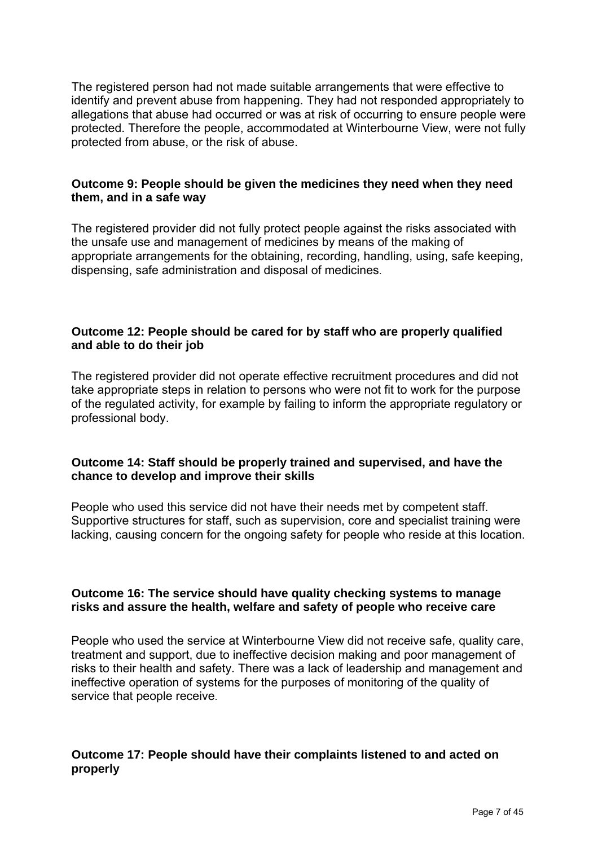The registered person had not made suitable arrangements that were effective to identify and prevent abuse from happening. They had not responded appropriately to allegations that abuse had occurred or was at risk of occurring to ensure people were protected. Therefore the people, accommodated at Winterbourne View, were not fully protected from abuse, or the risk of abuse.

#### **Outcome 9: People should be given the medicines they need when they need them, and in a safe way**

The registered provider did not fully protect people against the risks associated with the unsafe use and management of medicines by means of the making of appropriate arrangements for the obtaining, recording, handling, using, safe keeping, dispensing, safe administration and disposal of medicines.

#### **Outcome 12: People should be cared for by staff who are properly qualified and able to do their job**

The registered provider did not operate effective recruitment procedures and did not take appropriate steps in relation to persons who were not fit to work for the purpose of the regulated activity, for example by failing to inform the appropriate regulatory or professional body.

## **Outcome 14: Staff should be properly trained and supervised, and have the chance to develop and improve their skills**

People who used this service did not have their needs met by competent staff. Supportive structures for staff, such as supervision, core and specialist training were lacking, causing concern for the ongoing safety for people who reside at this location.

#### **Outcome 16: The service should have quality checking systems to manage risks and assure the health, welfare and safety of people who receive care**

People who used the service at Winterbourne View did not receive safe, quality care, treatment and support, due to ineffective decision making and poor management of risks to their health and safety. There was a lack of leadership and management and ineffective operation of systems for the purposes of monitoring of the quality of service that people receive.

## **Outcome 17: People should have their complaints listened to and acted on properly**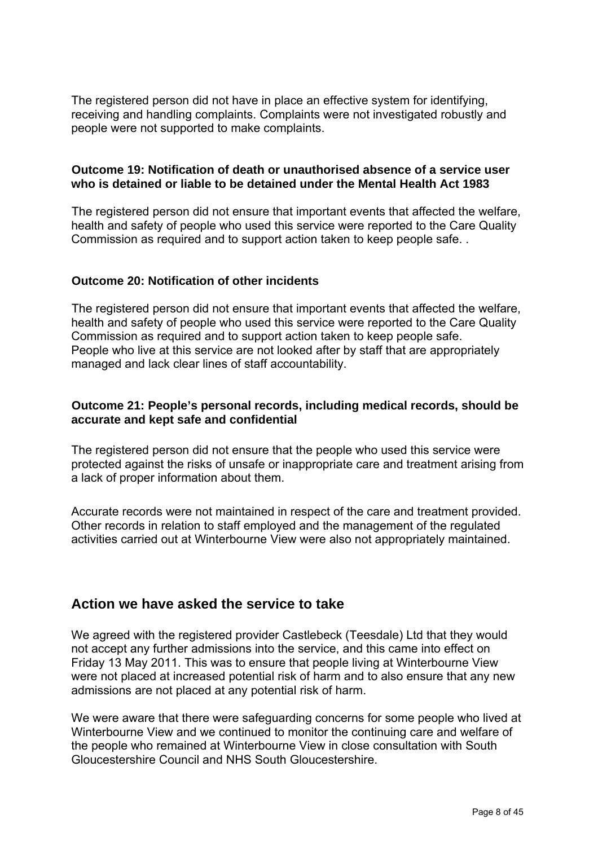The registered person did not have in place an effective system for identifying, receiving and handling complaints. Complaints were not investigated robustly and people were not supported to make complaints.

#### **Outcome 19: Notification of death or unauthorised absence of a service user who is detained or liable to be detained under the Mental Health Act 1983**

The registered person did not ensure that important events that affected the welfare, health and safety of people who used this service were reported to the Care Quality Commission as required and to support action taken to keep people safe. .

## **Outcome 20: Notification of other incidents**

The registered person did not ensure that important events that affected the welfare, health and safety of people who used this service were reported to the Care Quality Commission as required and to support action taken to keep people safe. People who live at this service are not looked after by staff that are appropriately managed and lack clear lines of staff accountability.

#### **Outcome 21: People's personal records, including medical records, should be accurate and kept safe and confidential**

The registered person did not ensure that the people who used this service were protected against the risks of unsafe or inappropriate care and treatment arising from a lack of proper information about them.

Accurate records were not maintained in respect of the care and treatment provided. Other records in relation to staff employed and the management of the regulated activities carried out at Winterbourne View were also not appropriately maintained.

# **Action we have asked the service to take**

We agreed with the registered provider Castlebeck (Teesdale) Ltd that they would not accept any further admissions into the service, and this came into effect on Friday 13 May 2011. This was to ensure that people living at Winterbourne View were not placed at increased potential risk of harm and to also ensure that any new admissions are not placed at any potential risk of harm.

We were aware that there were safeguarding concerns for some people who lived at Winterbourne View and we continued to monitor the continuing care and welfare of the people who remained at Winterbourne View in close consultation with South Gloucestershire Council and NHS South Gloucestershire.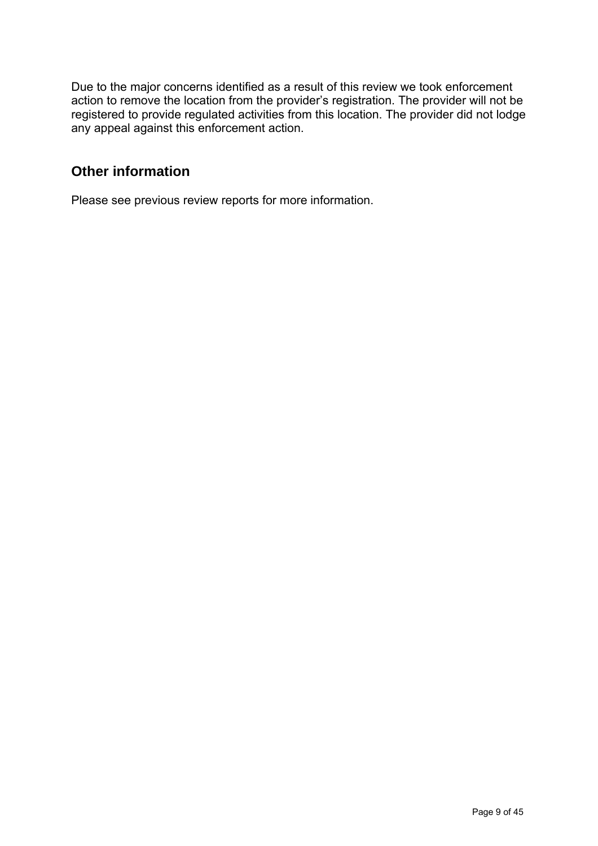Due to the major concerns identified as a result of this review we took enforcement action to remove the location from the provider's registration. The provider will not be registered to provide regulated activities from this location. The provider did not lodge any appeal against this enforcement action.

# **Other information**

Please see previous review reports for more information.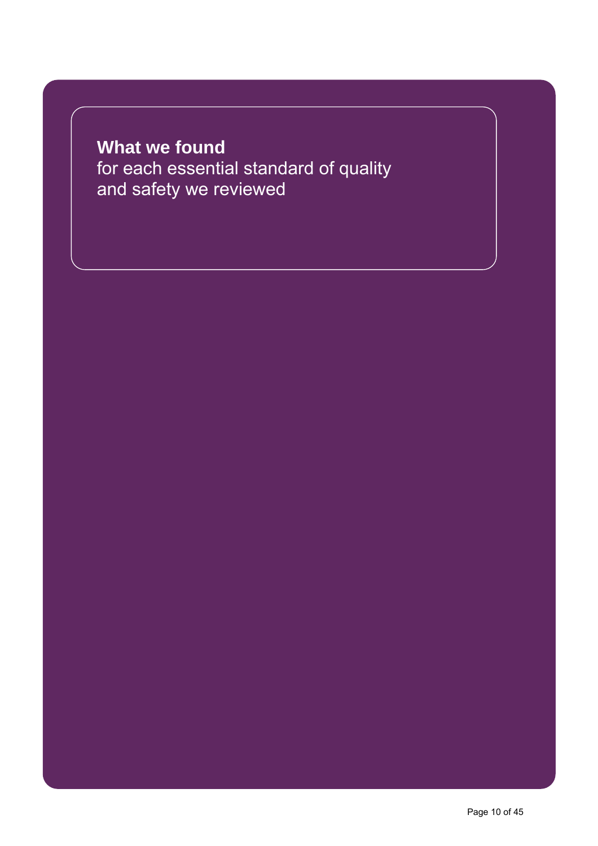# **What we found**  for each essential standard of quality and safety we reviewed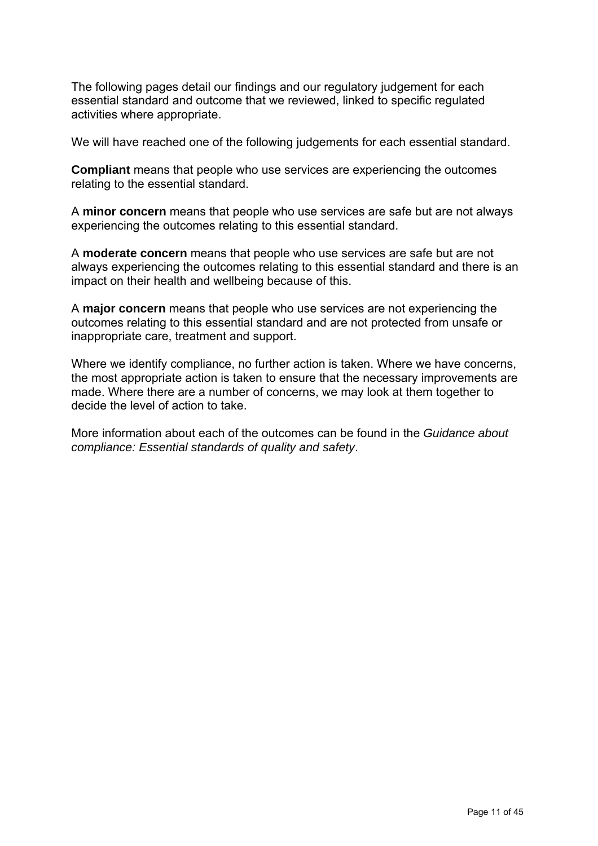The following pages detail our findings and our regulatory judgement for each essential standard and outcome that we reviewed, linked to specific regulated activities where appropriate.

We will have reached one of the following judgements for each essential standard.

**Compliant** means that people who use services are experiencing the outcomes relating to the essential standard.

A **minor concern** means that people who use services are safe but are not always experiencing the outcomes relating to this essential standard.

A **moderate concern** means that people who use services are safe but are not always experiencing the outcomes relating to this essential standard and there is an impact on their health and wellbeing because of this.

A **major concern** means that people who use services are not experiencing the outcomes relating to this essential standard and are not protected from unsafe or inappropriate care, treatment and support.

Where we identify compliance, no further action is taken. Where we have concerns, the most appropriate action is taken to ensure that the necessary improvements are made. Where there are a number of concerns, we may look at them together to decide the level of action to take.

More information about each of the outcomes can be found in the *Guidance about compliance: Essential standards of quality and safety*.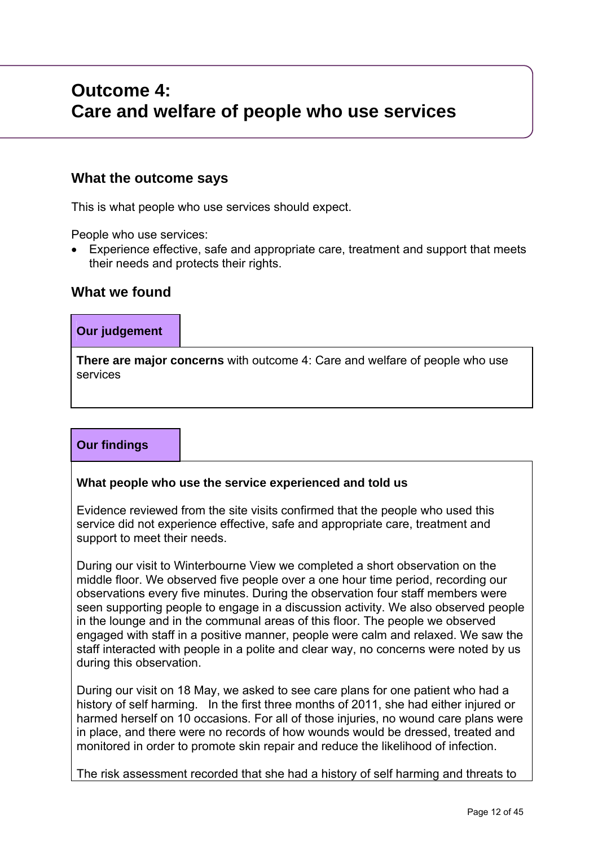# **Outcome 4: Care and welfare of people who use services**

## **What the outcome says**

This is what people who use services should expect.

People who use services:

 Experience effective, safe and appropriate care, treatment and support that meets their needs and protects their rights.

## **What we found**

# **Our judgement**

**There are major concerns** with outcome 4: Care and welfare of people who use services

# **Our findings**

#### **What people who use the service experienced and told us**

Evidence reviewed from the site visits confirmed that the people who used this service did not experience effective, safe and appropriate care, treatment and support to meet their needs.

During our visit to Winterbourne View we completed a short observation on the middle floor. We observed five people over a one hour time period, recording our observations every five minutes. During the observation four staff members were seen supporting people to engage in a discussion activity. We also observed people in the lounge and in the communal areas of this floor. The people we observed engaged with staff in a positive manner, people were calm and relaxed. We saw the staff interacted with people in a polite and clear way, no concerns were noted by us during this observation.

During our visit on 18 May, we asked to see care plans for one patient who had a history of self harming. In the first three months of 2011, she had either injured or harmed herself on 10 occasions. For all of those injuries, no wound care plans were in place, and there were no records of how wounds would be dressed, treated and monitored in order to promote skin repair and reduce the likelihood of infection.

The risk assessment recorded that she had a history of self harming and threats to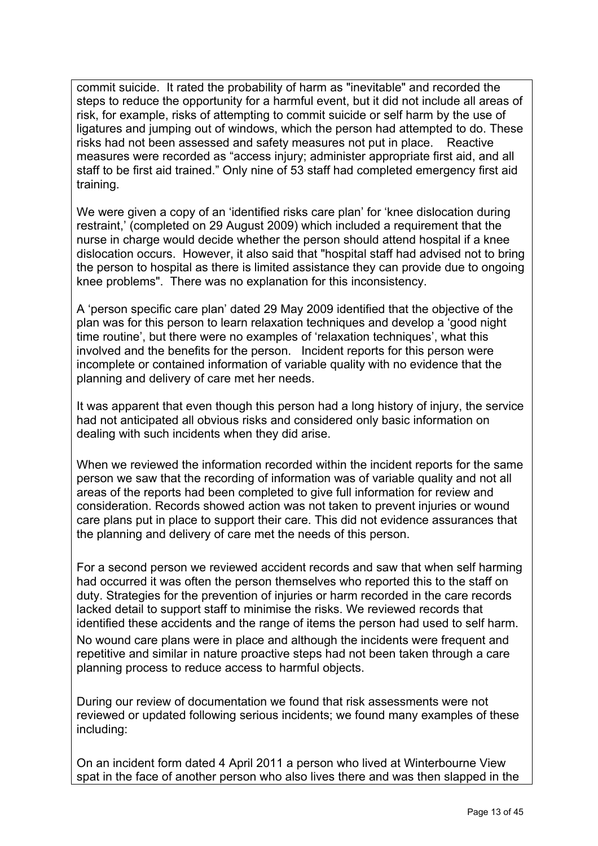commit suicide. It rated the probability of harm as "inevitable" and recorded the steps to reduce the opportunity for a harmful event, but it did not include all areas of risk, for example, risks of attempting to commit suicide or self harm by the use of ligatures and jumping out of windows, which the person had attempted to do. These risks had not been assessed and safety measures not put in place. Reactive measures were recorded as "access injury; administer appropriate first aid, and all staff to be first aid trained." Only nine of 53 staff had completed emergency first aid training.

We were given a copy of an 'identified risks care plan' for 'knee dislocation during restraint,' (completed on 29 August 2009) which included a requirement that the nurse in charge would decide whether the person should attend hospital if a knee dislocation occurs. However, it also said that "hospital staff had advised not to bring the person to hospital as there is limited assistance they can provide due to ongoing knee problems". There was no explanation for this inconsistency.

A 'person specific care plan' dated 29 May 2009 identified that the objective of the plan was for this person to learn relaxation techniques and develop a 'good night time routine', but there were no examples of 'relaxation techniques', what this involved and the benefits for the person. Incident reports for this person were incomplete or contained information of variable quality with no evidence that the planning and delivery of care met her needs.

It was apparent that even though this person had a long history of injury, the service had not anticipated all obvious risks and considered only basic information on dealing with such incidents when they did arise.

When we reviewed the information recorded within the incident reports for the same person we saw that the recording of information was of variable quality and not all areas of the reports had been completed to give full information for review and consideration. Records showed action was not taken to prevent injuries or wound care plans put in place to support their care. This did not evidence assurances that the planning and delivery of care met the needs of this person.

For a second person we reviewed accident records and saw that when self harming had occurred it was often the person themselves who reported this to the staff on duty. Strategies for the prevention of injuries or harm recorded in the care records lacked detail to support staff to minimise the risks. We reviewed records that identified these accidents and the range of items the person had used to self harm. No wound care plans were in place and although the incidents were frequent and repetitive and similar in nature proactive steps had not been taken through a care planning process to reduce access to harmful objects.

During our review of documentation we found that risk assessments were not reviewed or updated following serious incidents; we found many examples of these including:

On an incident form dated 4 April 2011 a person who lived at Winterbourne View spat in the face of another person who also lives there and was then slapped in the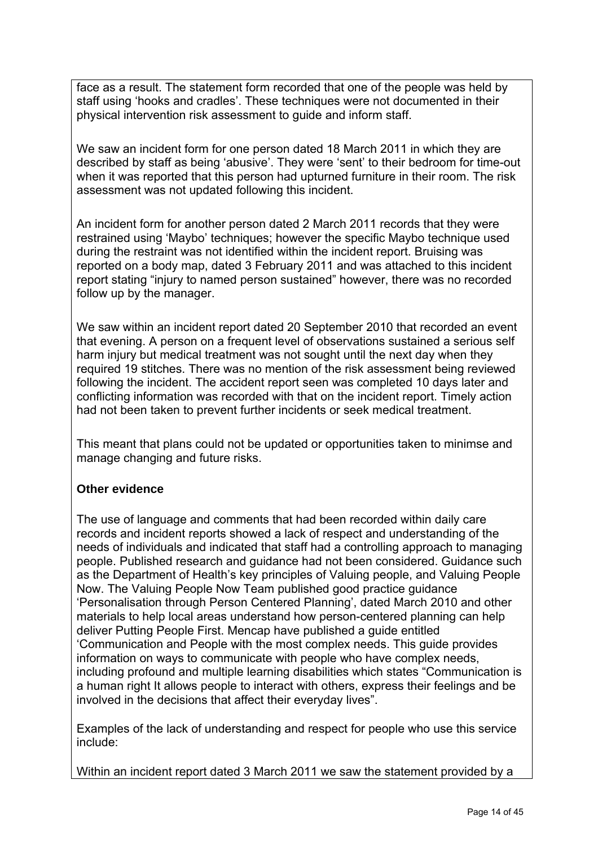face as a result. The statement form recorded that one of the people was held by staff using 'hooks and cradles'. These techniques were not documented in their physical intervention risk assessment to guide and inform staff.

We saw an incident form for one person dated 18 March 2011 in which they are described by staff as being 'abusive'. They were 'sent' to their bedroom for time-out when it was reported that this person had upturned furniture in their room. The risk assessment was not updated following this incident.

An incident form for another person dated 2 March 2011 records that they were restrained using 'Maybo' techniques; however the specific Maybo technique used during the restraint was not identified within the incident report. Bruising was reported on a body map, dated 3 February 2011 and was attached to this incident report stating "injury to named person sustained" however, there was no recorded follow up by the manager.

We saw within an incident report dated 20 September 2010 that recorded an event that evening. A person on a frequent level of observations sustained a serious self harm injury but medical treatment was not sought until the next day when they required 19 stitches. There was no mention of the risk assessment being reviewed following the incident. The accident report seen was completed 10 days later and conflicting information was recorded with that on the incident report. Timely action had not been taken to prevent further incidents or seek medical treatment.

This meant that plans could not be updated or opportunities taken to minimse and manage changing and future risks.

## **Other evidence**

The use of language and comments that had been recorded within daily care records and incident reports showed a lack of respect and understanding of the needs of individuals and indicated that staff had a controlling approach to managing people. Published research and guidance had not been considered. Guidance such as the Department of Health's key principles of Valuing people, and Valuing People Now. The Valuing People Now Team published good practice guidance 'Personalisation through Person Centered Planning', dated March 2010 and other materials to help local areas understand how person-centered planning can help deliver Putting People First. Mencap have published a guide entitled 'Communication and People with the most complex needs. This guide provides information on ways to communicate with people who have complex needs, including profound and multiple learning disabilities which states "Communication is a human right It allows people to interact with others, express their feelings and be involved in the decisions that affect their everyday lives".

Examples of the lack of understanding and respect for people who use this service include:

Within an incident report dated 3 March 2011 we saw the statement provided by a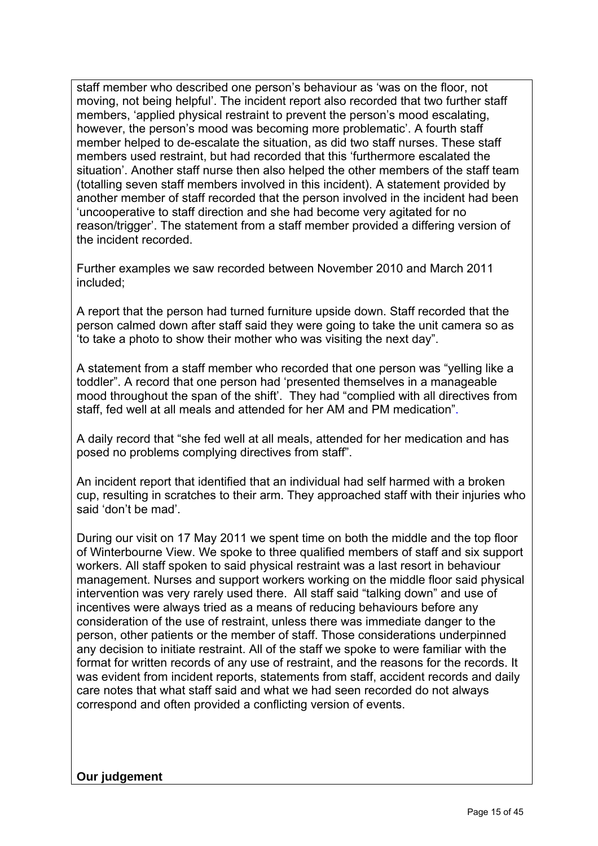staff member who described one person's behaviour as 'was on the floor, not moving, not being helpful'. The incident report also recorded that two further staff members, 'applied physical restraint to prevent the person's mood escalating, however, the person's mood was becoming more problematic'. A fourth staff member helped to de-escalate the situation, as did two staff nurses. These staff members used restraint, but had recorded that this 'furthermore escalated the situation'. Another staff nurse then also helped the other members of the staff team (totalling seven staff members involved in this incident). A statement provided by another member of staff recorded that the person involved in the incident had been 'uncooperative to staff direction and she had become very agitated for no reason/trigger'. The statement from a staff member provided a differing version of the incident recorded.

Further examples we saw recorded between November 2010 and March 2011 included;

A report that the person had turned furniture upside down. Staff recorded that the person calmed down after staff said they were going to take the unit camera so as 'to take a photo to show their mother who was visiting the next day".

A statement from a staff member who recorded that one person was "yelling like a toddler". A record that one person had 'presented themselves in a manageable mood throughout the span of the shift'. They had "complied with all directives from staff, fed well at all meals and attended for her AM and PM medication".

A daily record that "she fed well at all meals, attended for her medication and has posed no problems complying directives from staff".

An incident report that identified that an individual had self harmed with a broken cup, resulting in scratches to their arm. They approached staff with their injuries who said 'don't be mad'.

During our visit on 17 May 2011 we spent time on both the middle and the top floor of Winterbourne View. We spoke to three qualified members of staff and six support workers. All staff spoken to said physical restraint was a last resort in behaviour management. Nurses and support workers working on the middle floor said physical intervention was very rarely used there. All staff said "talking down" and use of incentives were always tried as a means of reducing behaviours before any consideration of the use of restraint, unless there was immediate danger to the person, other patients or the member of staff. Those considerations underpinned any decision to initiate restraint. All of the staff we spoke to were familiar with the format for written records of any use of restraint, and the reasons for the records. It was evident from incident reports, statements from staff, accident records and daily care notes that what staff said and what we had seen recorded do not always correspond and often provided a conflicting version of events.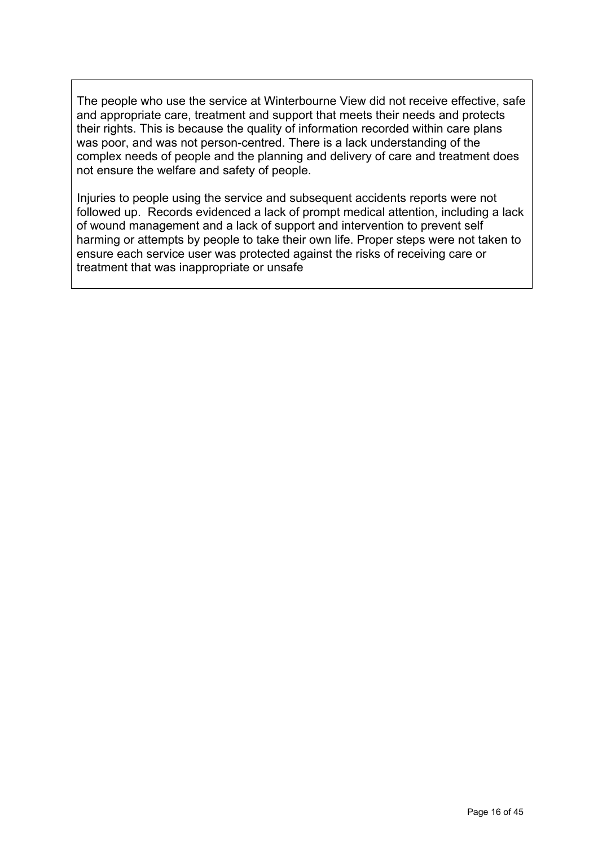The people who use the service at Winterbourne View did not receive effective, safe and appropriate care, treatment and support that meets their needs and protects their rights. This is because the quality of information recorded within care plans was poor, and was not person-centred. There is a lack understanding of the complex needs of people and the planning and delivery of care and treatment does not ensure the welfare and safety of people.

Injuries to people using the service and subsequent accidents reports were not followed up. Records evidenced a lack of prompt medical attention, including a lack of wound management and a lack of support and intervention to prevent self harming or attempts by people to take their own life. Proper steps were not taken to ensure each service user was protected against the risks of receiving care or treatment that was inappropriate or unsafe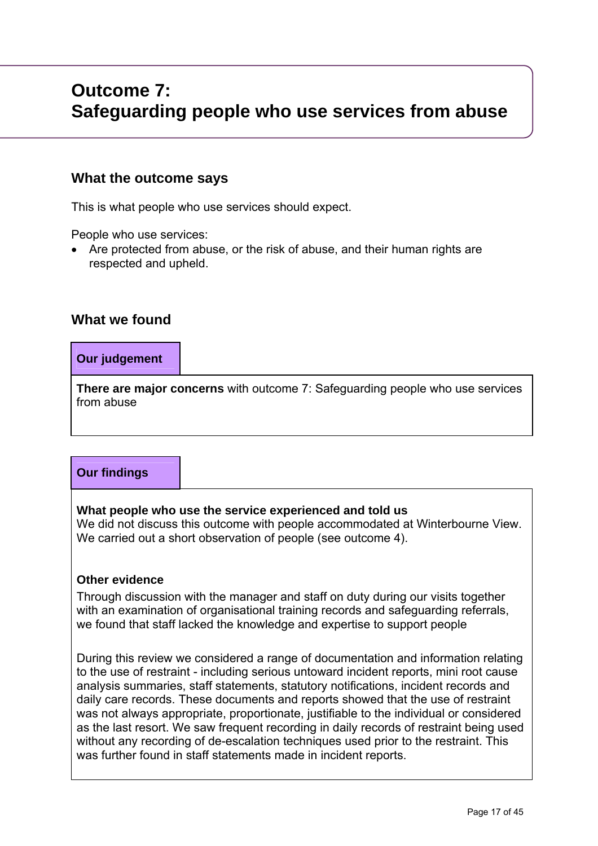# **Outcome 7: Safeguarding people who use services from abuse**

# **What the outcome says**

This is what people who use services should expect.

People who use services:

 Are protected from abuse, or the risk of abuse, and their human rights are respected and upheld.

# **What we found**

## **Our judgement**

**There are major concerns** with outcome 7: Safeguarding people who use services from abuse

# **Our findings**

## **What people who use the service experienced and told us**

We did not discuss this outcome with people accommodated at Winterbourne View. We carried out a short observation of people (see outcome 4).

## **Other evidence**

Through discussion with the manager and staff on duty during our visits together with an examination of organisational training records and safeguarding referrals, we found that staff lacked the knowledge and expertise to support people

During this review we considered a range of documentation and information relating to the use of restraint - including serious untoward incident reports, mini root cause analysis summaries, staff statements, statutory notifications, incident records and daily care records. These documents and reports showed that the use of restraint was not always appropriate, proportionate, justifiable to the individual or considered as the last resort. We saw frequent recording in daily records of restraint being used without any recording of de-escalation techniques used prior to the restraint. This was further found in staff statements made in incident reports.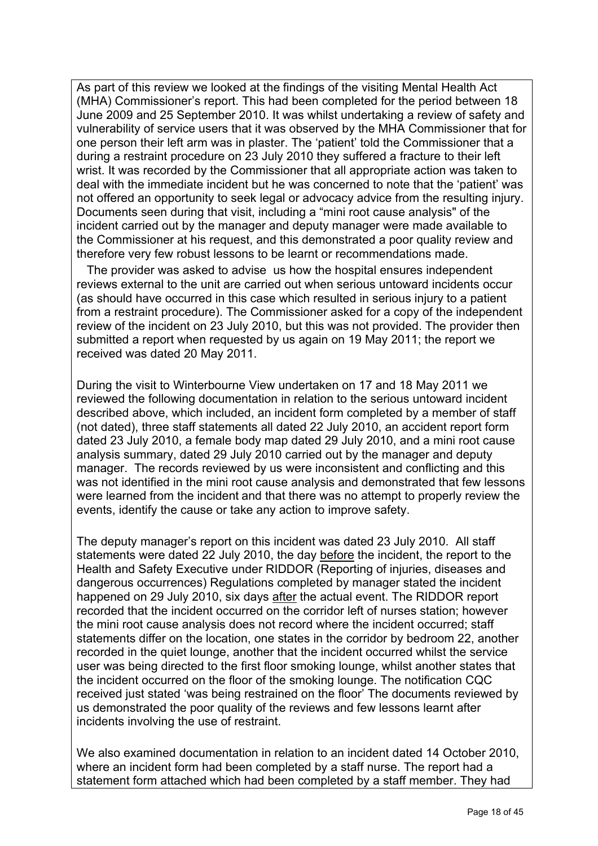As part of this review we looked at the findings of the visiting Mental Health Act (MHA) Commissioner's report. This had been completed for the period between 18 June 2009 and 25 September 2010. It was whilst undertaking a review of safety and vulnerability of service users that it was observed by the MHA Commissioner that for one person their left arm was in plaster. The 'patient' told the Commissioner that a during a restraint procedure on 23 July 2010 they suffered a fracture to their left wrist. It was recorded by the Commissioner that all appropriate action was taken to deal with the immediate incident but he was concerned to note that the 'patient' was not offered an opportunity to seek legal or advocacy advice from the resulting injury. Documents seen during that visit, including a "mini root cause analysis" of the incident carried out by the manager and deputy manager were made available to the Commissioner at his request, and this demonstrated a poor quality review and therefore very few robust lessons to be learnt or recommendations made.

 The provider was asked to advise us how the hospital ensures independent reviews external to the unit are carried out when serious untoward incidents occur (as should have occurred in this case which resulted in serious injury to a patient from a restraint procedure). The Commissioner asked for a copy of the independent review of the incident on 23 July 2010, but this was not provided. The provider then submitted a report when requested by us again on 19 May 2011; the report we received was dated 20 May 2011.

During the visit to Winterbourne View undertaken on 17 and 18 May 2011 we reviewed the following documentation in relation to the serious untoward incident described above, which included, an incident form completed by a member of staff (not dated), three staff statements all dated 22 July 2010, an accident report form dated 23 July 2010, a female body map dated 29 July 2010, and a mini root cause analysis summary, dated 29 July 2010 carried out by the manager and deputy manager. The records reviewed by us were inconsistent and conflicting and this was not identified in the mini root cause analysis and demonstrated that few lessons were learned from the incident and that there was no attempt to properly review the events, identify the cause or take any action to improve safety.

The deputy manager's report on this incident was dated 23 July 2010. All staff statements were dated 22 July 2010, the day before the incident, the report to the Health and Safety Executive under RIDDOR (Reporting of injuries, diseases and dangerous occurrences) Regulations completed by manager stated the incident happened on 29 July 2010, six days after the actual event. The RIDDOR report recorded that the incident occurred on the corridor left of nurses station; however the mini root cause analysis does not record where the incident occurred; staff statements differ on the location, one states in the corridor by bedroom 22, another recorded in the quiet lounge, another that the incident occurred whilst the service user was being directed to the first floor smoking lounge, whilst another states that the incident occurred on the floor of the smoking lounge. The notification CQC received just stated 'was being restrained on the floor' The documents reviewed by us demonstrated the poor quality of the reviews and few lessons learnt after incidents involving the use of restraint.

We also examined documentation in relation to an incident dated 14 October 2010, where an incident form had been completed by a staff nurse. The report had a statement form attached which had been completed by a staff member. They had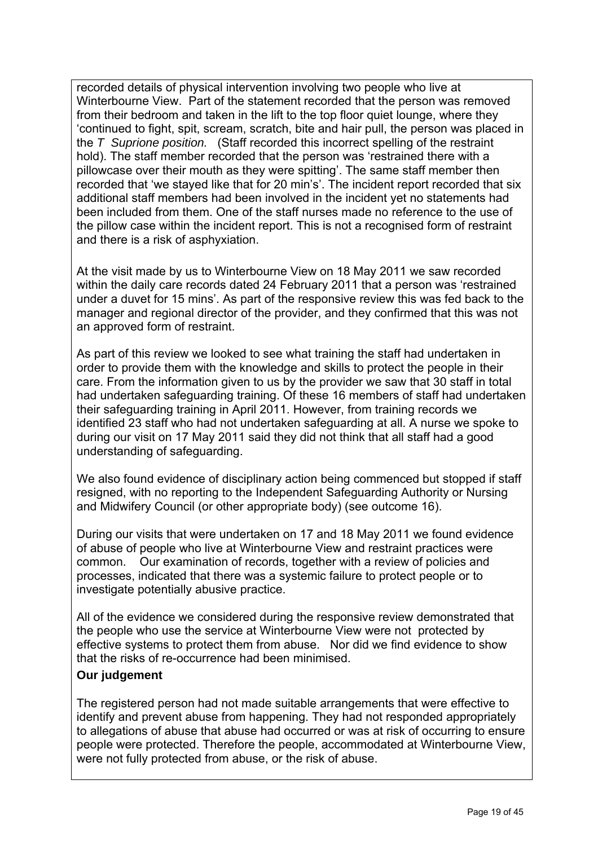recorded details of physical intervention involving two people who live at Winterbourne View. Part of the statement recorded that the person was removed from their bedroom and taken in the lift to the top floor quiet lounge, where they 'continued to fight, spit, scream, scratch, bite and hair pull, the person was placed in the *T Suprione position.* (Staff recorded this incorrect spelling of the restraint hold). The staff member recorded that the person was 'restrained there with a pillowcase over their mouth as they were spitting'. The same staff member then recorded that 'we stayed like that for 20 min's'. The incident report recorded that six additional staff members had been involved in the incident yet no statements had been included from them. One of the staff nurses made no reference to the use of the pillow case within the incident report. This is not a recognised form of restraint and there is a risk of asphyxiation.

At the visit made by us to Winterbourne View on 18 May 2011 we saw recorded within the daily care records dated 24 February 2011 that a person was 'restrained under a duvet for 15 mins'. As part of the responsive review this was fed back to the manager and regional director of the provider, and they confirmed that this was not an approved form of restraint.

As part of this review we looked to see what training the staff had undertaken in order to provide them with the knowledge and skills to protect the people in their care. From the information given to us by the provider we saw that 30 staff in total had undertaken safeguarding training. Of these 16 members of staff had undertaken their safeguarding training in April 2011. However, from training records we identified 23 staff who had not undertaken safeguarding at all. A nurse we spoke to during our visit on 17 May 2011 said they did not think that all staff had a good understanding of safeguarding.

We also found evidence of disciplinary action being commenced but stopped if staff resigned, with no reporting to the Independent Safeguarding Authority or Nursing and Midwifery Council (or other appropriate body) (see outcome 16).

During our visits that were undertaken on 17 and 18 May 2011 we found evidence of abuse of people who live at Winterbourne View and restraint practices were common. Our examination of records, together with a review of policies and processes, indicated that there was a systemic failure to protect people or to investigate potentially abusive practice.

All of the evidence we considered during the responsive review demonstrated that the people who use the service at Winterbourne View were not protected by effective systems to protect them from abuse. Nor did we find evidence to show that the risks of re-occurrence had been minimised.

## **Our judgement**

The registered person had not made suitable arrangements that were effective to identify and prevent abuse from happening. They had not responded appropriately to allegations of abuse that abuse had occurred or was at risk of occurring to ensure people were protected. Therefore the people, accommodated at Winterbourne View, were not fully protected from abuse, or the risk of abuse.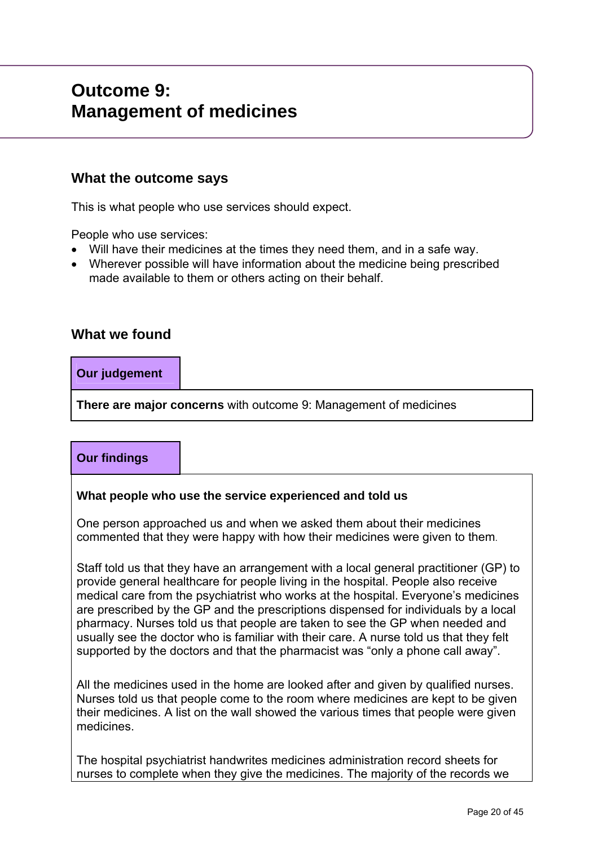# **Outcome 9: Management of medicines**

# **What the outcome says**

This is what people who use services should expect.

People who use services:

- Will have their medicines at the times they need them, and in a safe way.
- Wherever possible will have information about the medicine being prescribed made available to them or others acting on their behalf.

# **What we found**

## **Our judgement**

**There are major concerns** with outcome 9: Management of medicines

# **Our findings**

#### **What people who use the service experienced and told us**

One person approached us and when we asked them about their medicines commented that they were happy with how their medicines were given to them.

Staff told us that they have an arrangement with a local general practitioner (GP) to provide general healthcare for people living in the hospital. People also receive medical care from the psychiatrist who works at the hospital. Everyone's medicines are prescribed by the GP and the prescriptions dispensed for individuals by a local pharmacy. Nurses told us that people are taken to see the GP when needed and usually see the doctor who is familiar with their care. A nurse told us that they felt supported by the doctors and that the pharmacist was "only a phone call away".

All the medicines used in the home are looked after and given by qualified nurses. Nurses told us that people come to the room where medicines are kept to be given their medicines. A list on the wall showed the various times that people were given medicines.

The hospital psychiatrist handwrites medicines administration record sheets for nurses to complete when they give the medicines. The majority of the records we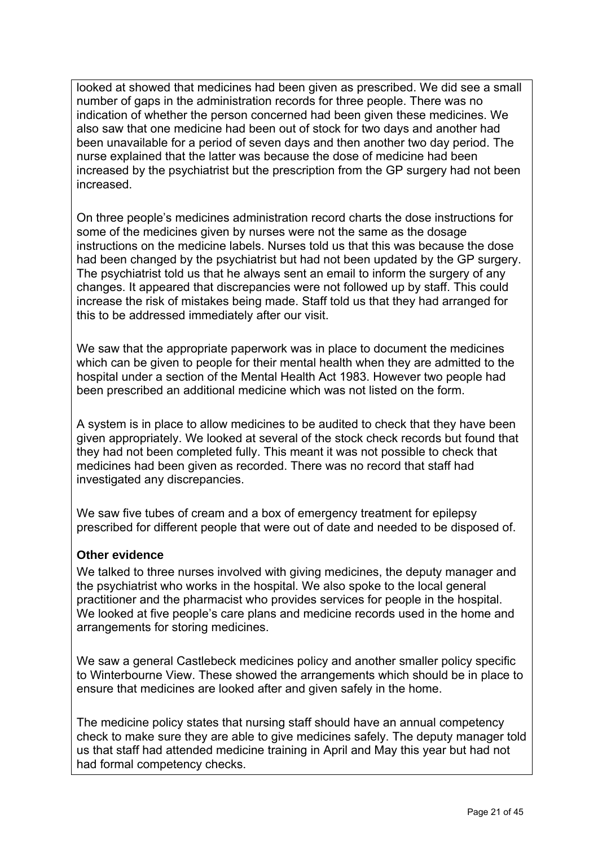looked at showed that medicines had been given as prescribed. We did see a small number of gaps in the administration records for three people. There was no indication of whether the person concerned had been given these medicines. We also saw that one medicine had been out of stock for two days and another had been unavailable for a period of seven days and then another two day period. The nurse explained that the latter was because the dose of medicine had been increased by the psychiatrist but the prescription from the GP surgery had not been increased.

On three people's medicines administration record charts the dose instructions for some of the medicines given by nurses were not the same as the dosage instructions on the medicine labels. Nurses told us that this was because the dose had been changed by the psychiatrist but had not been updated by the GP surgery. The psychiatrist told us that he always sent an email to inform the surgery of any changes. It appeared that discrepancies were not followed up by staff. This could increase the risk of mistakes being made. Staff told us that they had arranged for this to be addressed immediately after our visit.

We saw that the appropriate paperwork was in place to document the medicines which can be given to people for their mental health when they are admitted to the hospital under a section of the Mental Health Act 1983. However two people had been prescribed an additional medicine which was not listed on the form.

A system is in place to allow medicines to be audited to check that they have been given appropriately. We looked at several of the stock check records but found that they had not been completed fully. This meant it was not possible to check that medicines had been given as recorded. There was no record that staff had investigated any discrepancies.

We saw five tubes of cream and a box of emergency treatment for epilepsy prescribed for different people that were out of date and needed to be disposed of.

## **Other evidence**

We talked to three nurses involved with giving medicines, the deputy manager and the psychiatrist who works in the hospital. We also spoke to the local general practitioner and the pharmacist who provides services for people in the hospital. We looked at five people's care plans and medicine records used in the home and arrangements for storing medicines.

We saw a general Castlebeck medicines policy and another smaller policy specific to Winterbourne View. These showed the arrangements which should be in place to ensure that medicines are looked after and given safely in the home.

The medicine policy states that nursing staff should have an annual competency check to make sure they are able to give medicines safely. The deputy manager told us that staff had attended medicine training in April and May this year but had not had formal competency checks.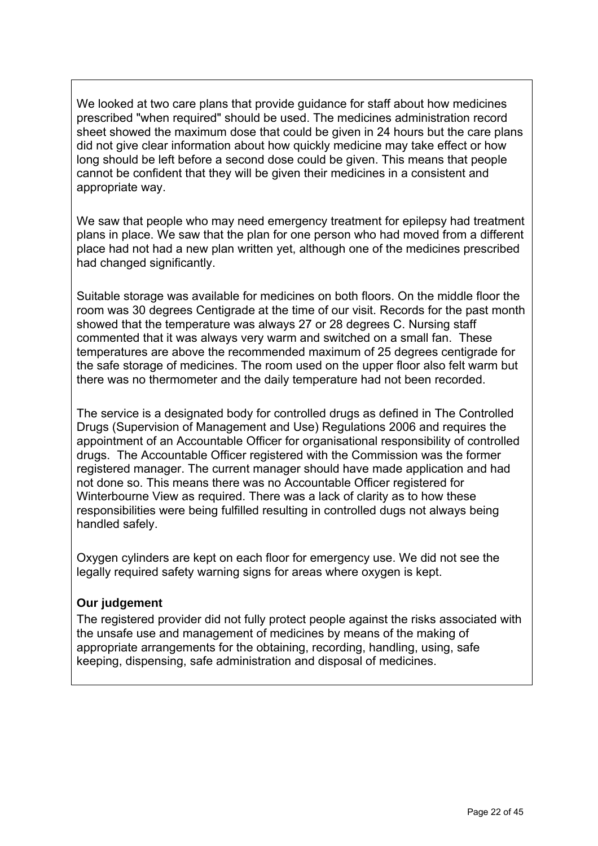We looked at two care plans that provide guidance for staff about how medicines prescribed "when required" should be used. The medicines administration record sheet showed the maximum dose that could be given in 24 hours but the care plans did not give clear information about how quickly medicine may take effect or how long should be left before a second dose could be given. This means that people cannot be confident that they will be given their medicines in a consistent and appropriate way.

We saw that people who may need emergency treatment for epilepsy had treatment plans in place. We saw that the plan for one person who had moved from a different place had not had a new plan written yet, although one of the medicines prescribed had changed significantly.

Suitable storage was available for medicines on both floors. On the middle floor the room was 30 degrees Centigrade at the time of our visit. Records for the past month showed that the temperature was always 27 or 28 degrees C. Nursing staff commented that it was always very warm and switched on a small fan. These temperatures are above the recommended maximum of 25 degrees centigrade for the safe storage of medicines. The room used on the upper floor also felt warm but there was no thermometer and the daily temperature had not been recorded.

The service is a designated body for controlled drugs as defined in The Controlled Drugs (Supervision of Management and Use) Regulations 2006 and requires the appointment of an Accountable Officer for organisational responsibility of controlled drugs. The Accountable Officer registered with the Commission was the former registered manager. The current manager should have made application and had not done so. This means there was no Accountable Officer registered for Winterbourne View as required. There was a lack of clarity as to how these responsibilities were being fulfilled resulting in controlled dugs not always being handled safely.

Oxygen cylinders are kept on each floor for emergency use. We did not see the legally required safety warning signs for areas where oxygen is kept.

## **Our judgement**

The registered provider did not fully protect people against the risks associated with the unsafe use and management of medicines by means of the making of appropriate arrangements for the obtaining, recording, handling, using, safe keeping, dispensing, safe administration and disposal of medicines.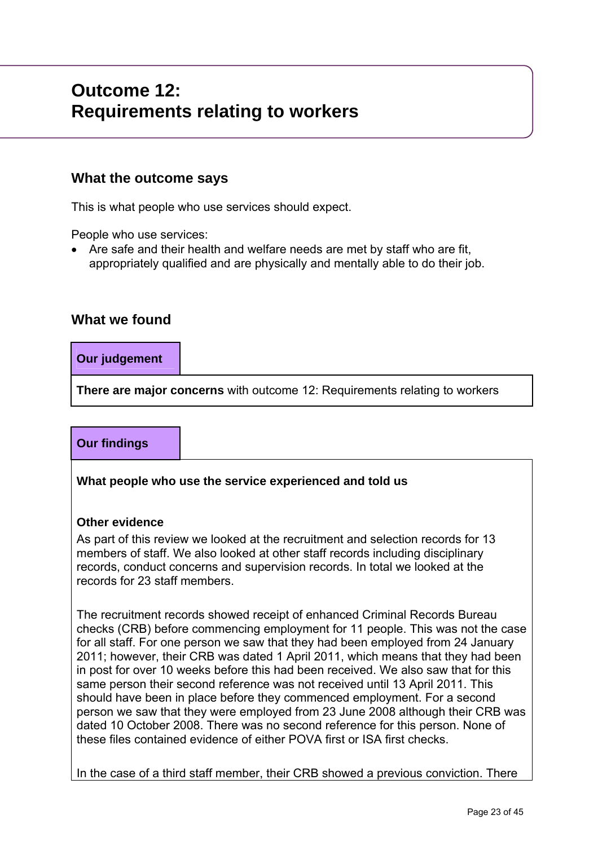# **Outcome 12: Requirements relating to workers**

# **What the outcome says**

This is what people who use services should expect.

People who use services:

 Are safe and their health and welfare needs are met by staff who are fit, appropriately qualified and are physically and mentally able to do their job.

# **What we found**

## **Our judgement**

**There are major concerns** with outcome 12: Requirements relating to workers

# **Our findings**

**What people who use the service experienced and told us** 

## **Other evidence**

As part of this review we looked at the recruitment and selection records for 13 members of staff. We also looked at other staff records including disciplinary records, conduct concerns and supervision records. In total we looked at the records for 23 staff members.

The recruitment records showed receipt of enhanced Criminal Records Bureau checks (CRB) before commencing employment for 11 people. This was not the case for all staff. For one person we saw that they had been employed from 24 January 2011; however, their CRB was dated 1 April 2011, which means that they had been in post for over 10 weeks before this had been received. We also saw that for this same person their second reference was not received until 13 April 2011. This should have been in place before they commenced employment. For a second person we saw that they were employed from 23 June 2008 although their CRB was dated 10 October 2008. There was no second reference for this person. None of these files contained evidence of either POVA first or ISA first checks.

In the case of a third staff member, their CRB showed a previous conviction. There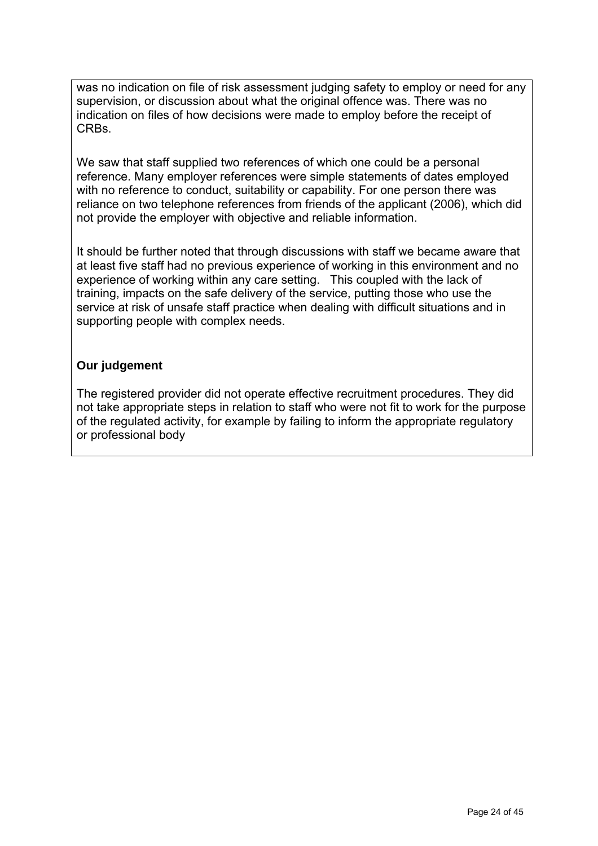was no indication on file of risk assessment judging safety to employ or need for any supervision, or discussion about what the original offence was. There was no indication on files of how decisions were made to employ before the receipt of CRBs.

We saw that staff supplied two references of which one could be a personal reference. Many employer references were simple statements of dates employed with no reference to conduct, suitability or capability. For one person there was reliance on two telephone references from friends of the applicant (2006), which did not provide the employer with objective and reliable information.

It should be further noted that through discussions with staff we became aware that at least five staff had no previous experience of working in this environment and no experience of working within any care setting. This coupled with the lack of training, impacts on the safe delivery of the service, putting those who use the service at risk of unsafe staff practice when dealing with difficult situations and in supporting people with complex needs.

## **Our judgement**

The registered provider did not operate effective recruitment procedures. They did not take appropriate steps in relation to staff who were not fit to work for the purpose of the regulated activity, for example by failing to inform the appropriate regulatory or professional body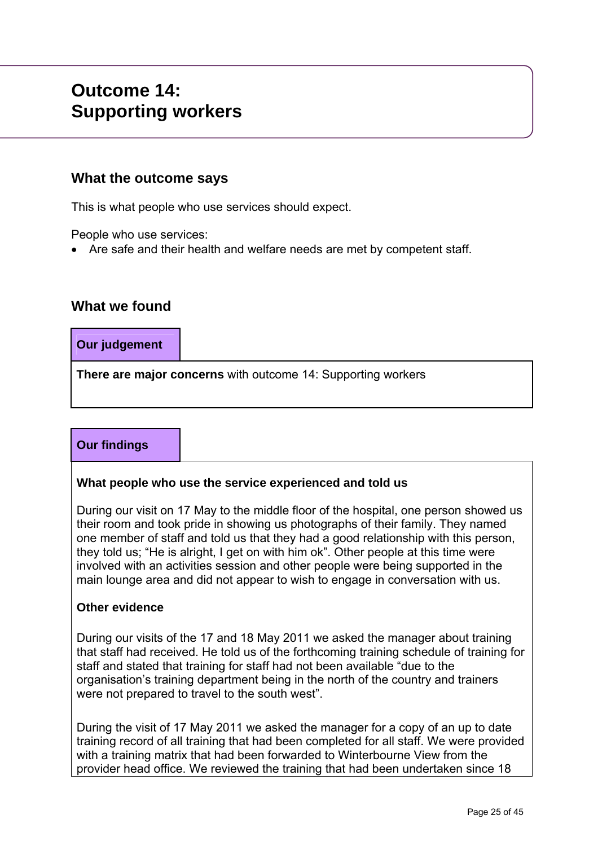# **Outcome 14: Supporting workers**

# **What the outcome says**

This is what people who use services should expect.

People who use services:

Are safe and their health and welfare needs are met by competent staff.

# **What we found**

**Our judgement** 

**There are major concerns** with outcome 14: Supporting workers

# **Our findings**

## **What people who use the service experienced and told us**

During our visit on 17 May to the middle floor of the hospital, one person showed us their room and took pride in showing us photographs of their family. They named one member of staff and told us that they had a good relationship with this person, they told us; "He is alright, I get on with him ok". Other people at this time were involved with an activities session and other people were being supported in the main lounge area and did not appear to wish to engage in conversation with us.

#### **Other evidence**

During our visits of the 17 and 18 May 2011 we asked the manager about training that staff had received. He told us of the forthcoming training schedule of training for staff and stated that training for staff had not been available "due to the organisation's training department being in the north of the country and trainers were not prepared to travel to the south west".

During the visit of 17 May 2011 we asked the manager for a copy of an up to date training record of all training that had been completed for all staff. We were provided with a training matrix that had been forwarded to Winterbourne View from the provider head office. We reviewed the training that had been undertaken since 18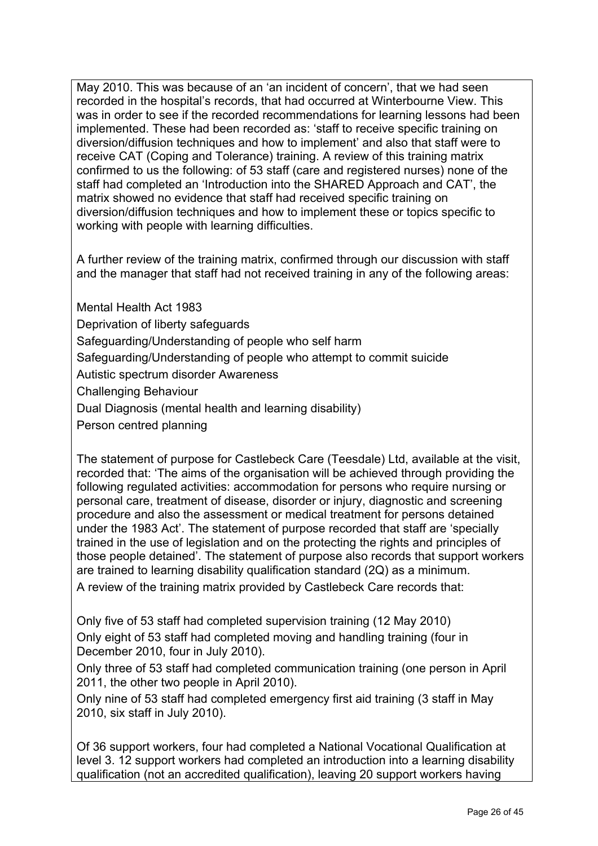May 2010. This was because of an 'an incident of concern', that we had seen recorded in the hospital's records, that had occurred at Winterbourne View. This was in order to see if the recorded recommendations for learning lessons had been implemented. These had been recorded as: 'staff to receive specific training on diversion/diffusion techniques and how to implement' and also that staff were to receive CAT (Coping and Tolerance) training. A review of this training matrix confirmed to us the following: of 53 staff (care and registered nurses) none of the staff had completed an 'Introduction into the SHARED Approach and CAT', the matrix showed no evidence that staff had received specific training on diversion/diffusion techniques and how to implement these or topics specific to working with people with learning difficulties.

A further review of the training matrix, confirmed through our discussion with staff and the manager that staff had not received training in any of the following areas:

Mental Health Act 1983

Deprivation of liberty safeguards

Safeguarding/Understanding of people who self harm

Safeguarding/Understanding of people who attempt to commit suicide

Autistic spectrum disorder Awareness

Challenging Behaviour

Dual Diagnosis (mental health and learning disability)

Person centred planning

The statement of purpose for Castlebeck Care (Teesdale) Ltd, available at the visit, recorded that: 'The aims of the organisation will be achieved through providing the following regulated activities: accommodation for persons who require nursing or personal care, treatment of disease, disorder or injury, diagnostic and screening procedure and also the assessment or medical treatment for persons detained under the 1983 Act'. The statement of purpose recorded that staff are 'specially trained in the use of legislation and on the protecting the rights and principles of those people detained'. The statement of purpose also records that support workers are trained to learning disability qualification standard (2Q) as a minimum.

A review of the training matrix provided by Castlebeck Care records that:

Only five of 53 staff had completed supervision training (12 May 2010) Only eight of 53 staff had completed moving and handling training (four in December 2010, four in July 2010).

Only three of 53 staff had completed communication training (one person in April 2011, the other two people in April 2010).

Only nine of 53 staff had completed emergency first aid training (3 staff in May 2010, six staff in July 2010).

Of 36 support workers, four had completed a National Vocational Qualification at level 3. 12 support workers had completed an introduction into a learning disability qualification (not an accredited qualification), leaving 20 support workers having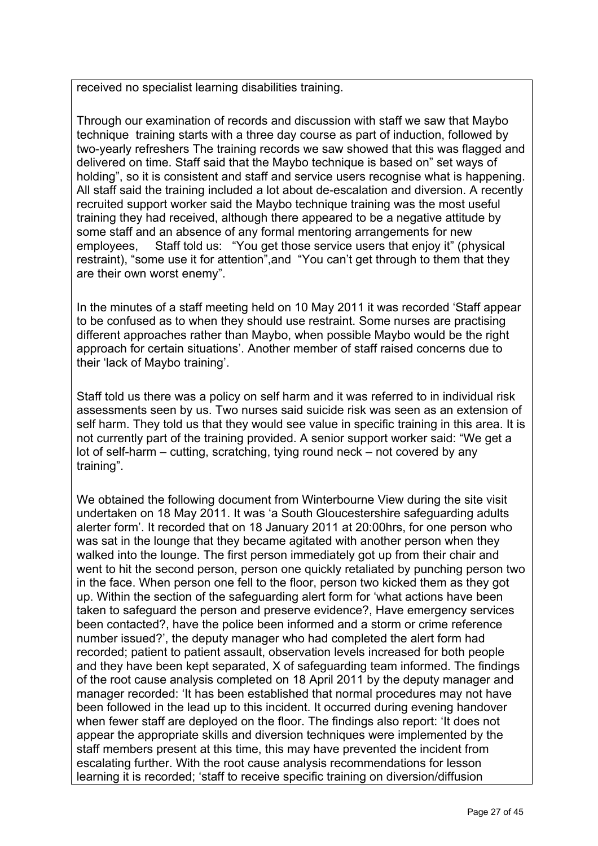received no specialist learning disabilities training.

Through our examination of records and discussion with staff we saw that Maybo technique training starts with a three day course as part of induction, followed by two-yearly refreshers The training records we saw showed that this was flagged and delivered on time. Staff said that the Maybo technique is based on" set ways of holding", so it is consistent and staff and service users recognise what is happening. All staff said the training included a lot about de-escalation and diversion. A recently recruited support worker said the Maybo technique training was the most useful training they had received, although there appeared to be a negative attitude by some staff and an absence of any formal mentoring arrangements for new employees, Staff told us: "You get those service users that enjoy it" (physical restraint), "some use it for attention",and "You can't get through to them that they are their own worst enemy".

In the minutes of a staff meeting held on 10 May 2011 it was recorded 'Staff appear to be confused as to when they should use restraint. Some nurses are practising different approaches rather than Maybo, when possible Maybo would be the right approach for certain situations'. Another member of staff raised concerns due to their 'lack of Maybo training'.

Staff told us there was a policy on self harm and it was referred to in individual risk assessments seen by us. Two nurses said suicide risk was seen as an extension of self harm. They told us that they would see value in specific training in this area. It is not currently part of the training provided. A senior support worker said: "We get a lot of self-harm – cutting, scratching, tying round neck – not covered by any training".

We obtained the following document from Winterbourne View during the site visit undertaken on 18 May 2011. It was 'a South Gloucestershire safeguarding adults alerter form'. It recorded that on 18 January 2011 at 20:00hrs, for one person who was sat in the lounge that they became agitated with another person when they walked into the lounge. The first person immediately got up from their chair and went to hit the second person, person one quickly retaliated by punching person two in the face. When person one fell to the floor, person two kicked them as they got up. Within the section of the safeguarding alert form for 'what actions have been taken to safeguard the person and preserve evidence?, Have emergency services been contacted?, have the police been informed and a storm or crime reference number issued?', the deputy manager who had completed the alert form had recorded; patient to patient assault, observation levels increased for both people and they have been kept separated, X of safeguarding team informed. The findings of the root cause analysis completed on 18 April 2011 by the deputy manager and manager recorded: 'It has been established that normal procedures may not have been followed in the lead up to this incident. It occurred during evening handover when fewer staff are deployed on the floor. The findings also report: 'It does not appear the appropriate skills and diversion techniques were implemented by the staff members present at this time, this may have prevented the incident from escalating further. With the root cause analysis recommendations for lesson learning it is recorded; 'staff to receive specific training on diversion/diffusion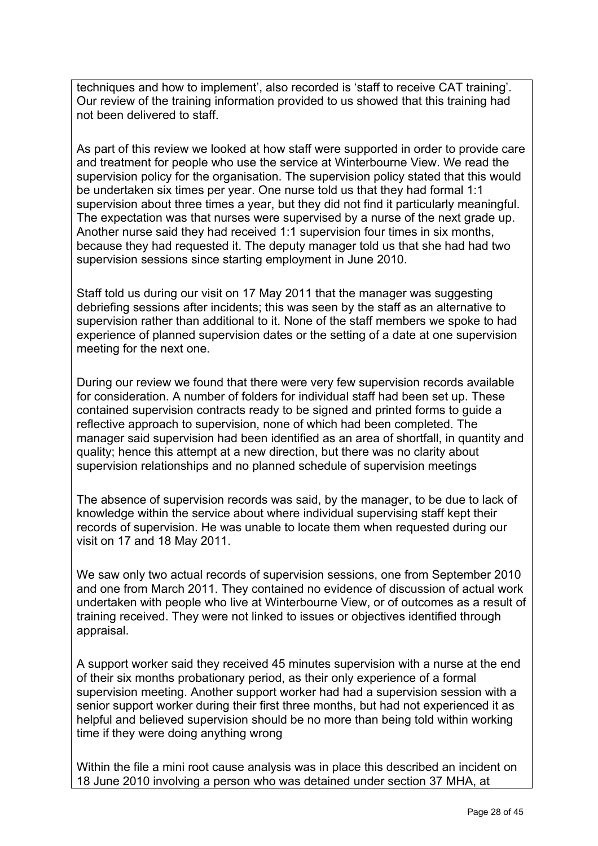techniques and how to implement', also recorded is 'staff to receive CAT training'. Our review of the training information provided to us showed that this training had not been delivered to staff.

As part of this review we looked at how staff were supported in order to provide care and treatment for people who use the service at Winterbourne View. We read the supervision policy for the organisation. The supervision policy stated that this would be undertaken six times per year. One nurse told us that they had formal 1:1 supervision about three times a year, but they did not find it particularly meaningful. The expectation was that nurses were supervised by a nurse of the next grade up. Another nurse said they had received 1:1 supervision four times in six months, because they had requested it. The deputy manager told us that she had had two supervision sessions since starting employment in June 2010.

Staff told us during our visit on 17 May 2011 that the manager was suggesting debriefing sessions after incidents; this was seen by the staff as an alternative to supervision rather than additional to it. None of the staff members we spoke to had experience of planned supervision dates or the setting of a date at one supervision meeting for the next one.

During our review we found that there were very few supervision records available for consideration. A number of folders for individual staff had been set up. These contained supervision contracts ready to be signed and printed forms to guide a reflective approach to supervision, none of which had been completed. The manager said supervision had been identified as an area of shortfall, in quantity and quality; hence this attempt at a new direction, but there was no clarity about supervision relationships and no planned schedule of supervision meetings

The absence of supervision records was said, by the manager, to be due to lack of knowledge within the service about where individual supervising staff kept their records of supervision. He was unable to locate them when requested during our visit on 17 and 18 May 2011.

We saw only two actual records of supervision sessions, one from September 2010 and one from March 2011. They contained no evidence of discussion of actual work undertaken with people who live at Winterbourne View, or of outcomes as a result of training received. They were not linked to issues or objectives identified through appraisal.

A support worker said they received 45 minutes supervision with a nurse at the end of their six months probationary period, as their only experience of a formal supervision meeting. Another support worker had had a supervision session with a senior support worker during their first three months, but had not experienced it as helpful and believed supervision should be no more than being told within working time if they were doing anything wrong

Within the file a mini root cause analysis was in place this described an incident on 18 June 2010 involving a person who was detained under section 37 MHA, at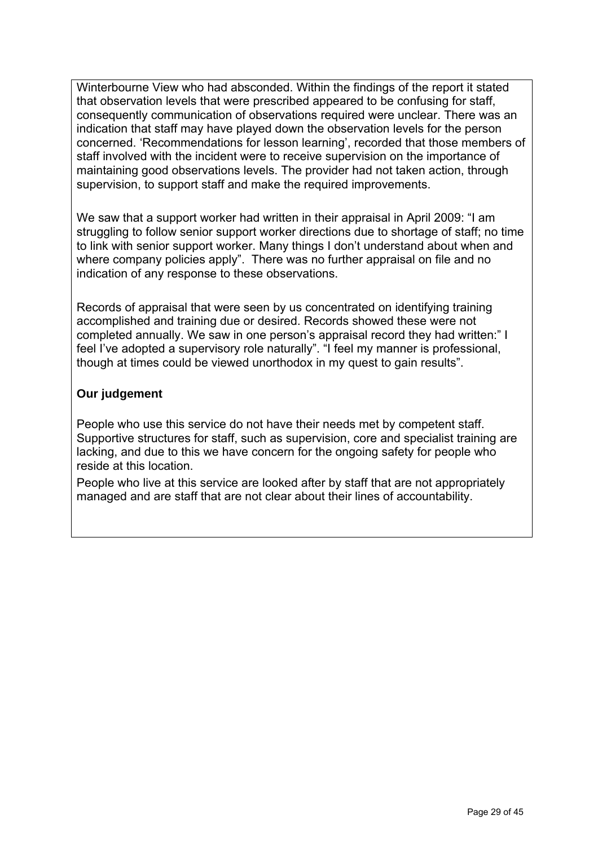Winterbourne View who had absconded. Within the findings of the report it stated that observation levels that were prescribed appeared to be confusing for staff, consequently communication of observations required were unclear. There was an indication that staff may have played down the observation levels for the person concerned. 'Recommendations for lesson learning', recorded that those members of staff involved with the incident were to receive supervision on the importance of maintaining good observations levels. The provider had not taken action, through supervision, to support staff and make the required improvements.

We saw that a support worker had written in their appraisal in April 2009: "I am struggling to follow senior support worker directions due to shortage of staff; no time to link with senior support worker. Many things I don't understand about when and where company policies apply". There was no further appraisal on file and no indication of any response to these observations.

Records of appraisal that were seen by us concentrated on identifying training accomplished and training due or desired. Records showed these were not completed annually. We saw in one person's appraisal record they had written:" I feel I've adopted a supervisory role naturally". "I feel my manner is professional, though at times could be viewed unorthodox in my quest to gain results".

## **Our judgement**

People who use this service do not have their needs met by competent staff. Supportive structures for staff, such as supervision, core and specialist training are lacking, and due to this we have concern for the ongoing safety for people who reside at this location.

People who live at this service are looked after by staff that are not appropriately managed and are staff that are not clear about their lines of accountability.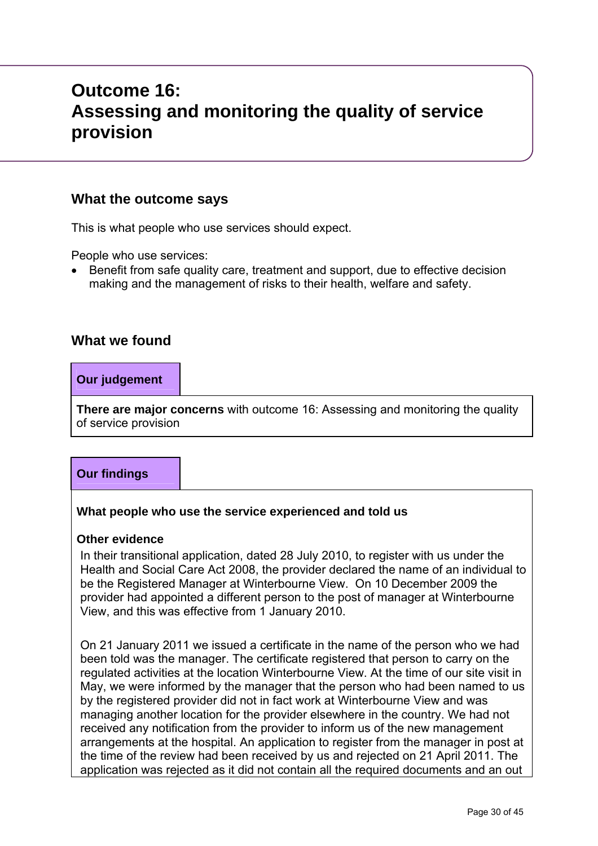# **Outcome 16: Assessing and monitoring the quality of service provision**

# **What the outcome says**

This is what people who use services should expect.

People who use services:

 Benefit from safe quality care, treatment and support, due to effective decision making and the management of risks to their health, welfare and safety.

# **What we found**

## **Our judgement**

**There are major concerns** with outcome 16: Assessing and monitoring the quality of service provision

# **Our findings**

## **What people who use the service experienced and told us**

#### **Other evidence**

In their transitional application, dated 28 July 2010, to register with us under the Health and Social Care Act 2008, the provider declared the name of an individual to be the Registered Manager at Winterbourne View. On 10 December 2009 the provider had appointed a different person to the post of manager at Winterbourne View, and this was effective from 1 January 2010.

On 21 January 2011 we issued a certificate in the name of the person who we had been told was the manager. The certificate registered that person to carry on the regulated activities at the location Winterbourne View. At the time of our site visit in May, we were informed by the manager that the person who had been named to us by the registered provider did not in fact work at Winterbourne View and was managing another location for the provider elsewhere in the country. We had not received any notification from the provider to inform us of the new management arrangements at the hospital. An application to register from the manager in post at the time of the review had been received by us and rejected on 21 April 2011. The application was rejected as it did not contain all the required documents and an out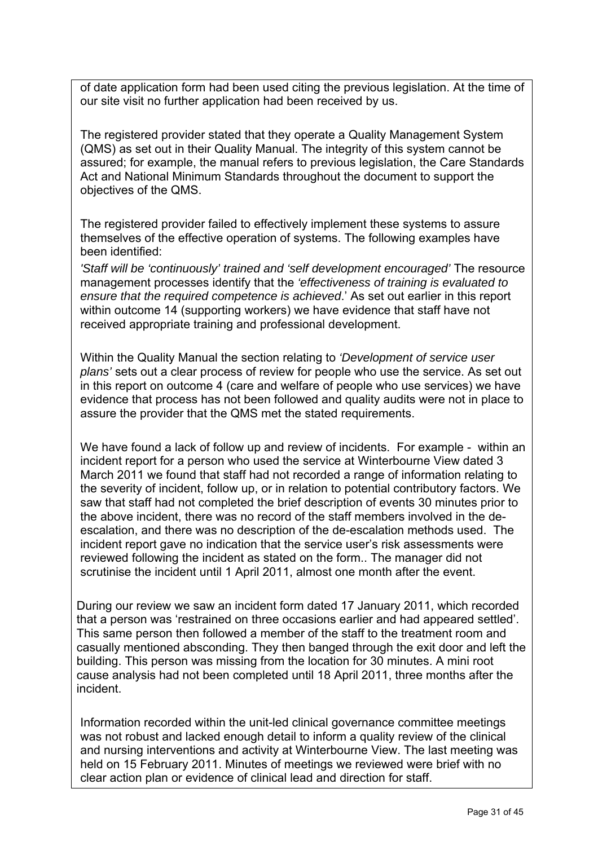of date application form had been used citing the previous legislation. At the time of our site visit no further application had been received by us.

The registered provider stated that they operate a Quality Management System (QMS) as set out in their Quality Manual. The integrity of this system cannot be assured; for example, the manual refers to previous legislation, the Care Standards Act and National Minimum Standards throughout the document to support the objectives of the QMS.

The registered provider failed to effectively implement these systems to assure themselves of the effective operation of systems. The following examples have been identified:

*'Staff will be 'continuously' trained and 'self development encouraged'* The resource management processes identify that the *'effectiveness of training is evaluated to ensure that the required competence is achieved*.' As set out earlier in this report within outcome 14 (supporting workers) we have evidence that staff have not received appropriate training and professional development.

Within the Quality Manual the section relating to *'Development of service user plans'* sets out a clear process of review for people who use the service. As set out in this report on outcome 4 (care and welfare of people who use services) we have evidence that process has not been followed and quality audits were not in place to assure the provider that the QMS met the stated requirements.

We have found a lack of follow up and review of incidents. For example - within an incident report for a person who used the service at Winterbourne View dated 3 March 2011 we found that staff had not recorded a range of information relating to the severity of incident, follow up, or in relation to potential contributory factors. We saw that staff had not completed the brief description of events 30 minutes prior to the above incident, there was no record of the staff members involved in the deescalation, and there was no description of the de-escalation methods used. The incident report gave no indication that the service user's risk assessments were reviewed following the incident as stated on the form.. The manager did not scrutinise the incident until 1 April 2011, almost one month after the event.

During our review we saw an incident form dated 17 January 2011, which recorded that a person was 'restrained on three occasions earlier and had appeared settled'. This same person then followed a member of the staff to the treatment room and casually mentioned absconding. They then banged through the exit door and left the building. This person was missing from the location for 30 minutes. A mini root cause analysis had not been completed until 18 April 2011, three months after the incident.

Information recorded within the unit-led clinical governance committee meetings was not robust and lacked enough detail to inform a quality review of the clinical and nursing interventions and activity at Winterbourne View. The last meeting was held on 15 February 2011. Minutes of meetings we reviewed were brief with no clear action plan or evidence of clinical lead and direction for staff.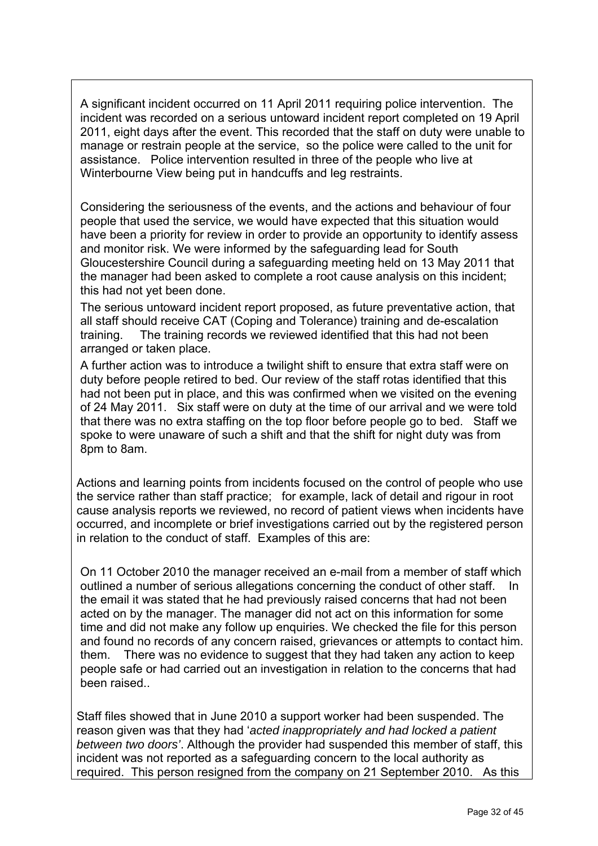A significant incident occurred on 11 April 2011 requiring police intervention. The incident was recorded on a serious untoward incident report completed on 19 April 2011, eight days after the event. This recorded that the staff on duty were unable to manage or restrain people at the service, so the police were called to the unit for assistance. Police intervention resulted in three of the people who live at Winterbourne View being put in handcuffs and leg restraints.

Considering the seriousness of the events, and the actions and behaviour of four people that used the service, we would have expected that this situation would have been a priority for review in order to provide an opportunity to identify assess and monitor risk. We were informed by the safeguarding lead for South Gloucestershire Council during a safeguarding meeting held on 13 May 2011 that the manager had been asked to complete a root cause analysis on this incident; this had not yet been done.

The serious untoward incident report proposed, as future preventative action, that all staff should receive CAT (Coping and Tolerance) training and de-escalation training. The training records we reviewed identified that this had not been arranged or taken place.

A further action was to introduce a twilight shift to ensure that extra staff were on duty before people retired to bed. Our review of the staff rotas identified that this had not been put in place, and this was confirmed when we visited on the evening of 24 May 2011. Six staff were on duty at the time of our arrival and we were told that there was no extra staffing on the top floor before people go to bed. Staff we spoke to were unaware of such a shift and that the shift for night duty was from 8pm to 8am.

Actions and learning points from incidents focused on the control of people who use the service rather than staff practice; for example, lack of detail and rigour in root cause analysis reports we reviewed, no record of patient views when incidents have occurred, and incomplete or brief investigations carried out by the registered person in relation to the conduct of staff. Examples of this are:

On 11 October 2010 the manager received an e-mail from a member of staff which outlined a number of serious allegations concerning the conduct of other staff. In the email it was stated that he had previously raised concerns that had not been acted on by the manager. The manager did not act on this information for some time and did not make any follow up enquiries. We checked the file for this person and found no records of any concern raised, grievances or attempts to contact him. them. There was no evidence to suggest that they had taken any action to keep people safe or had carried out an investigation in relation to the concerns that had been raised..

Staff files showed that in June 2010 a support worker had been suspended. The reason given was that they had '*acted inappropriately and had locked a patient between two doors'*. Although the provider had suspended this member of staff, this incident was not reported as a safeguarding concern to the local authority as required. This person resigned from the company on 21 September 2010. As this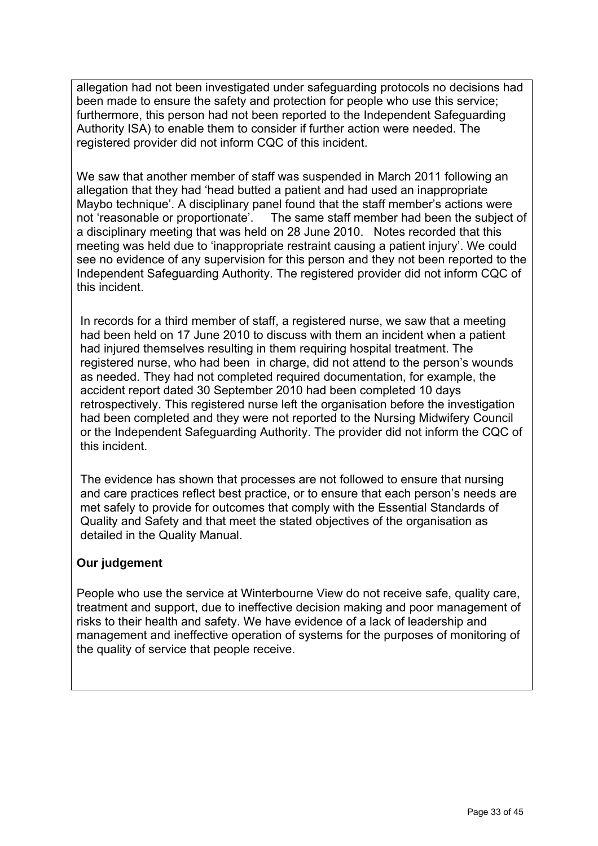allegation had not been investigated under safeguarding protocols no decisions had been made to ensure the safety and protection for people who use this service; furthermore, this person had not been reported to the Independent Safeguarding Authority ISA) to enable them to consider if further action were needed. The registered provider did not inform CQC of this incident.

We saw that another member of staff was suspended in March 2011 following an allegation that they had 'head butted a patient and had used an inappropriate Maybo technique'. A disciplinary panel found that the staff member's actions were not 'reasonable or proportionate'. The same staff member had been the subject of a disciplinary meeting that was held on 28 June 2010. Notes recorded that this meeting was held due to 'inappropriate restraint causing a patient injury'. We could see no evidence of any supervision for this person and they not been reported to the Independent Safeguarding Authority. The registered provider did not inform CQC of this incident.

In records for a third member of staff, a registered nurse, we saw that a meeting had been held on 17 June 2010 to discuss with them an incident when a patient had injured themselves resulting in them requiring hospital treatment. The registered nurse, who had been in charge, did not attend to the person's wounds as needed. They had not completed required documentation, for example, the accident report dated 30 September 2010 had been completed 10 days retrospectively. This registered nurse left the organisation before the investigation had been completed and they were not reported to the Nursing Midwifery Council or the Independent Safeguarding Authority. The provider did not inform the CQC of this incident.

The evidence has shown that processes are not followed to ensure that nursing and care practices reflect best practice, or to ensure that each person's needs are met safely to provide for outcomes that comply with the Essential Standards of Quality and Safety and that meet the stated objectives of the organisation as detailed in the Quality Manual.

## **Our judgement**

People who use the service at Winterbourne View do not receive safe, quality care, treatment and support, due to ineffective decision making and poor management of risks to their health and safety. We have evidence of a lack of leadership and management and ineffective operation of systems for the purposes of monitoring of the quality of service that people receive.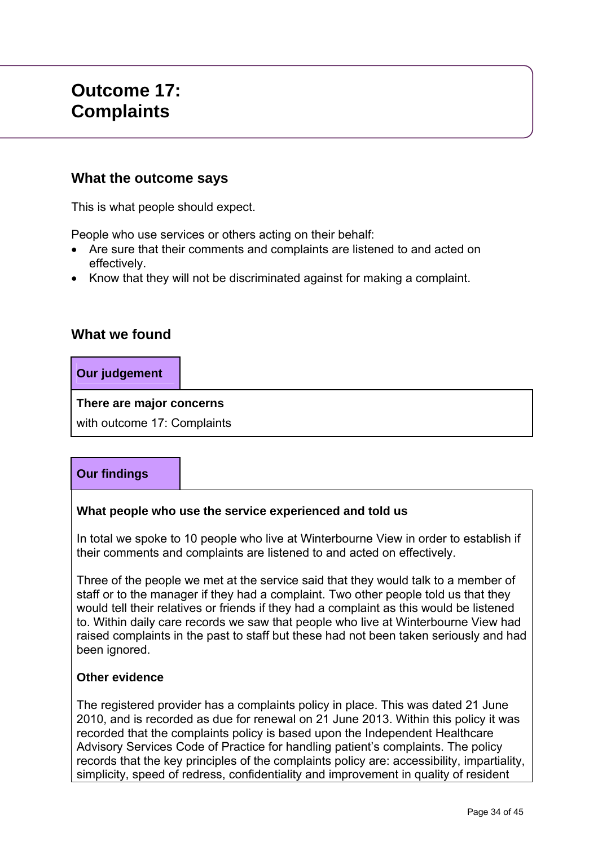# **Outcome 17: Complaints**

# **What the outcome says**

This is what people should expect.

People who use services or others acting on their behalf:

- Are sure that their comments and complaints are listened to and acted on effectively.
- Know that they will not be discriminated against for making a complaint.

# **What we found**

**Our judgement** 

**There are major concerns** 

with outcome 17: Complaints

# **Our findings**

## **What people who use the service experienced and told us**

In total we spoke to 10 people who live at Winterbourne View in order to establish if their comments and complaints are listened to and acted on effectively.

Three of the people we met at the service said that they would talk to a member of staff or to the manager if they had a complaint. Two other people told us that they would tell their relatives or friends if they had a complaint as this would be listened to. Within daily care records we saw that people who live at Winterbourne View had raised complaints in the past to staff but these had not been taken seriously and had been ignored.

#### **Other evidence**

The registered provider has a complaints policy in place. This was dated 21 June 2010, and is recorded as due for renewal on 21 June 2013. Within this policy it was recorded that the complaints policy is based upon the Independent Healthcare Advisory Services Code of Practice for handling patient's complaints. The policy records that the key principles of the complaints policy are: accessibility, impartiality, simplicity, speed of redress, confidentiality and improvement in quality of resident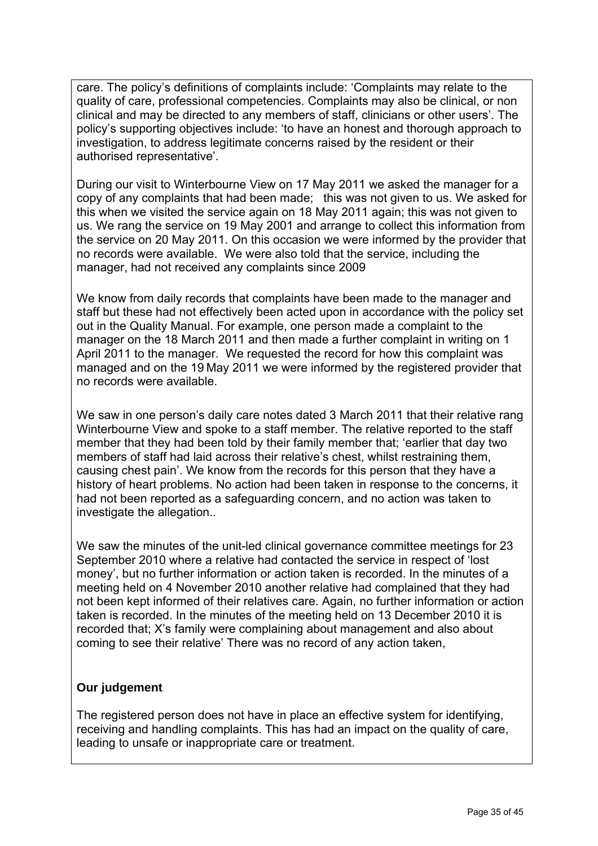care. The policy's definitions of complaints include: 'Complaints may relate to the quality of care, professional competencies. Complaints may also be clinical, or non clinical and may be directed to any members of staff, clinicians or other users'. The policy's supporting objectives include: 'to have an honest and thorough approach to investigation, to address legitimate concerns raised by the resident or their authorised representative'.

During our visit to Winterbourne View on 17 May 2011 we asked the manager for a copy of any complaints that had been made; this was not given to us. We asked for this when we visited the service again on 18 May 2011 again; this was not given to us. We rang the service on 19 May 2001 and arrange to collect this information from the service on 20 May 2011. On this occasion we were informed by the provider that no records were available. We were also told that the service, including the manager, had not received any complaints since 2009

We know from daily records that complaints have been made to the manager and staff but these had not effectively been acted upon in accordance with the policy set out in the Quality Manual. For example, one person made a complaint to the manager on the 18 March 2011 and then made a further complaint in writing on 1 April 2011 to the manager. We requested the record for how this complaint was managed and on the 19 May 2011 we were informed by the registered provider that no records were available.

We saw in one person's daily care notes dated 3 March 2011 that their relative rang Winterbourne View and spoke to a staff member. The relative reported to the staff member that they had been told by their family member that; 'earlier that day two members of staff had laid across their relative's chest, whilst restraining them, causing chest pain'. We know from the records for this person that they have a history of heart problems. No action had been taken in response to the concerns, it had not been reported as a safeguarding concern, and no action was taken to investigate the allegation..

We saw the minutes of the unit-led clinical governance committee meetings for 23 September 2010 where a relative had contacted the service in respect of 'lost money', but no further information or action taken is recorded. In the minutes of a meeting held on 4 November 2010 another relative had complained that they had not been kept informed of their relatives care. Again, no further information or action taken is recorded. In the minutes of the meeting held on 13 December 2010 it is recorded that; X's family were complaining about management and also about coming to see their relative' There was no record of any action taken,

# **Our judgement**

The registered person does not have in place an effective system for identifying, receiving and handling complaints. This has had an impact on the quality of care, leading to unsafe or inappropriate care or treatment.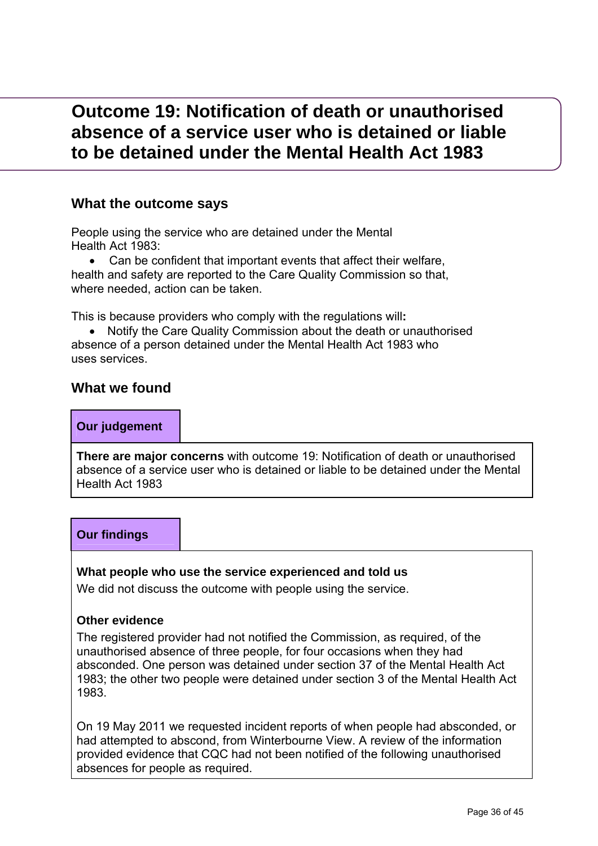# **Outcome 19: Notification of death or unauthorised absence of a service user who is detained or liable to be detained under the Mental Health Act 1983**

# **What the outcome says**

People using the service who are detained under the Mental Health Act 1983:

 Can be confident that important events that affect their welfare, health and safety are reported to the Care Quality Commission so that, where needed, action can be taken.

This is because providers who comply with the regulations will**:** 

 Notify the Care Quality Commission about the death or unauthorised absence of a person detained under the Mental Health Act 1983 who uses services.

## **What we found**

#### **Our judgement**

**There are major concerns** with outcome 19: Notification of death or unauthorised absence of a service user who is detained or liable to be detained under the Mental Health Act 1983

# **Our findings**

#### **What people who use the service experienced and told us**

We did not discuss the outcome with people using the service.

#### **Other evidence**

The registered provider had not notified the Commission, as required, of the unauthorised absence of three people, for four occasions when they had absconded. One person was detained under section 37 of the Mental Health Act 1983; the other two people were detained under section 3 of the Mental Health Act 1983.

On 19 May 2011 we requested incident reports of when people had absconded, or had attempted to abscond, from Winterbourne View. A review of the information provided evidence that CQC had not been notified of the following unauthorised absences for people as required.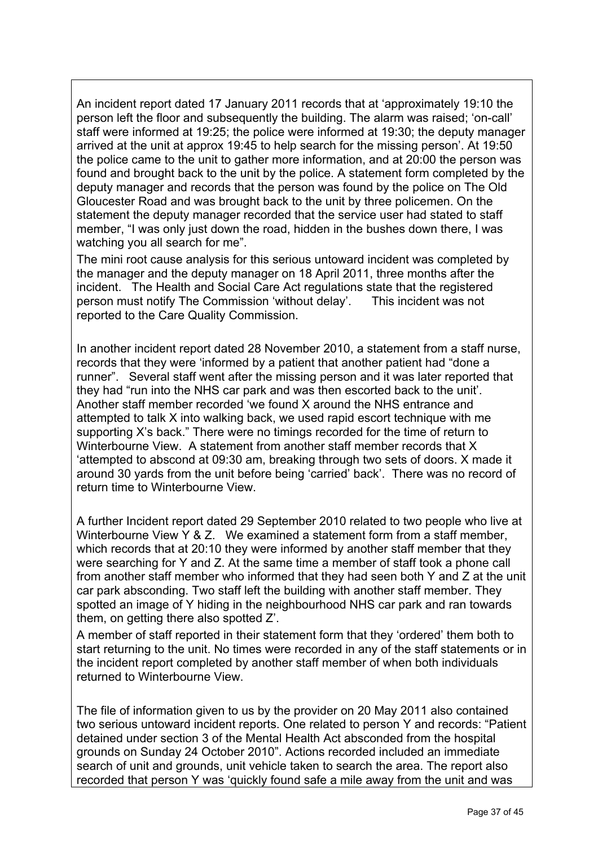An incident report dated 17 January 2011 records that at 'approximately 19:10 the person left the floor and subsequently the building. The alarm was raised; 'on-call' staff were informed at 19:25; the police were informed at 19:30; the deputy manager arrived at the unit at approx 19:45 to help search for the missing person'. At 19:50 the police came to the unit to gather more information, and at 20:00 the person was found and brought back to the unit by the police. A statement form completed by the deputy manager and records that the person was found by the police on The Old Gloucester Road and was brought back to the unit by three policemen. On the statement the deputy manager recorded that the service user had stated to staff member, "I was only just down the road, hidden in the bushes down there, I was watching you all search for me".

The mini root cause analysis for this serious untoward incident was completed by the manager and the deputy manager on 18 April 2011, three months after the incident. The Health and Social Care Act regulations state that the registered person must notify The Commission 'without delay'. This incident was not reported to the Care Quality Commission.

In another incident report dated 28 November 2010, a statement from a staff nurse, records that they were 'informed by a patient that another patient had "done a runner". Several staff went after the missing person and it was later reported that they had "run into the NHS car park and was then escorted back to the unit'. Another staff member recorded 'we found X around the NHS entrance and attempted to talk X into walking back, we used rapid escort technique with me supporting X's back." There were no timings recorded for the time of return to Winterbourne View. A statement from another staff member records that X 'attempted to abscond at 09:30 am, breaking through two sets of doors. X made it around 30 yards from the unit before being 'carried' back'. There was no record of return time to Winterbourne View.

A further Incident report dated 29 September 2010 related to two people who live at Winterbourne View Y & Z. We examined a statement form from a staff member, which records that at 20:10 they were informed by another staff member that they were searching for Y and Z. At the same time a member of staff took a phone call from another staff member who informed that they had seen both Y and Z at the unit car park absconding. Two staff left the building with another staff member. They spotted an image of Y hiding in the neighbourhood NHS car park and ran towards them, on getting there also spotted Z'.

A member of staff reported in their statement form that they 'ordered' them both to start returning to the unit. No times were recorded in any of the staff statements or in the incident report completed by another staff member of when both individuals returned to Winterbourne View.

The file of information given to us by the provider on 20 May 2011 also contained two serious untoward incident reports. One related to person Y and records: "Patient detained under section 3 of the Mental Health Act absconded from the hospital grounds on Sunday 24 October 2010". Actions recorded included an immediate search of unit and grounds, unit vehicle taken to search the area. The report also recorded that person Y was 'quickly found safe a mile away from the unit and was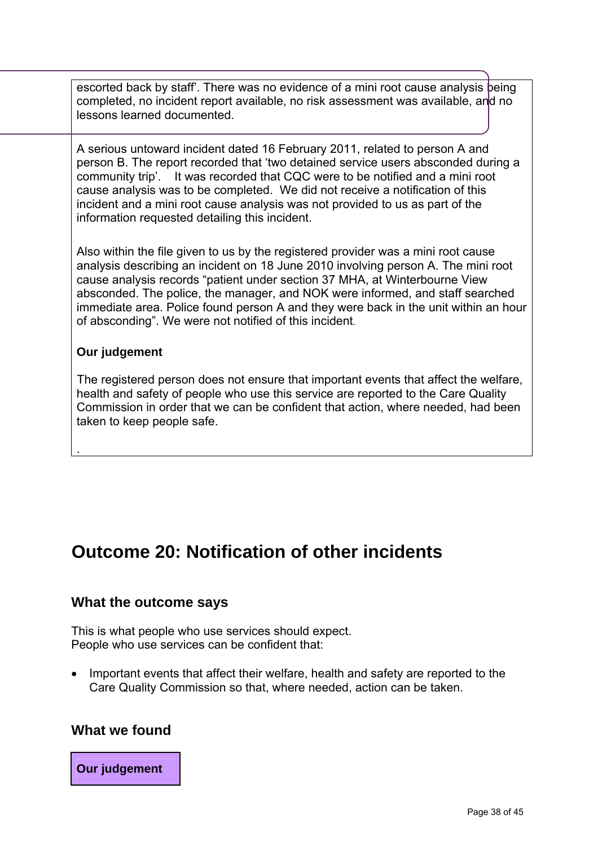escorted back by staff'. There was no evidence of a mini root cause analysis being completed, no incident report available, no risk assessment was available, and no lessons learned documented.

A serious untoward incident dated 16 February 2011, related to person A and person B. The report recorded that 'two detained service users absconded during a community trip'. It was recorded that CQC were to be notified and a mini root cause analysis was to be completed. We did not receive a notification of this incident and a mini root cause analysis was not provided to us as part of the information requested detailing this incident.

Also within the file given to us by the registered provider was a mini root cause analysis describing an incident on 18 June 2010 involving person A. The mini root cause analysis records "patient under section 37 MHA, at Winterbourne View absconded. The police, the manager, and NOK were informed, and staff searched immediate area. Police found person A and they were back in the unit within an hour of absconding". We were not notified of this incident.

#### **Our judgement**

.

The registered person does not ensure that important events that affect the welfare, health and safety of people who use this service are reported to the Care Quality Commission in order that we can be confident that action, where needed, had been taken to keep people safe.

# **Outcome 20: Notification of other incidents**

## **What the outcome says**

This is what people who use services should expect. People who use services can be confident that:

 Important events that affect their welfare, health and safety are reported to the Care Quality Commission so that, where needed, action can be taken.

## **What we found**

## **Our judgement**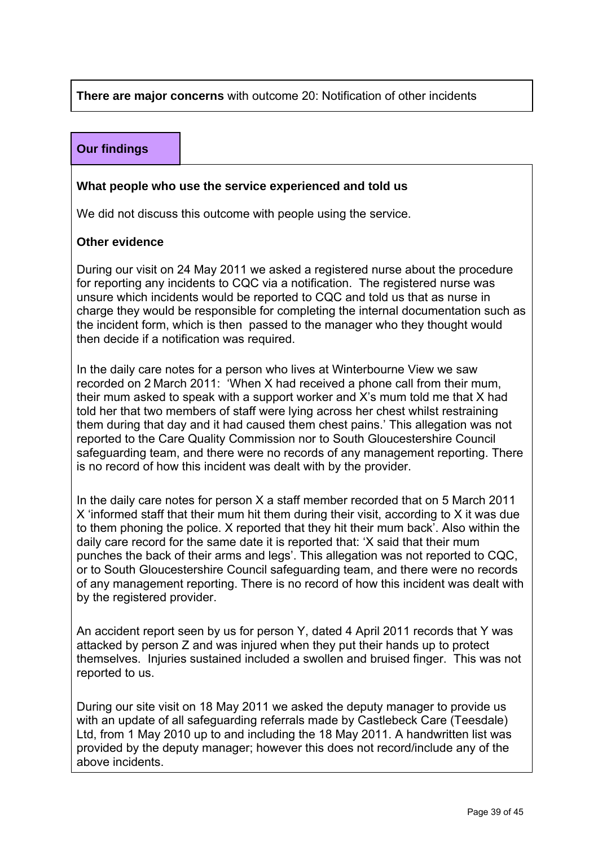## **There are major concerns** with outcome 20: Notification of other incidents

# **Our findings**

#### **What people who use the service experienced and told us**

We did not discuss this outcome with people using the service.

#### **Other evidence**

During our visit on 24 May 2011 we asked a registered nurse about the procedure for reporting any incidents to CQC via a notification. The registered nurse was unsure which incidents would be reported to CQC and told us that as nurse in charge they would be responsible for completing the internal documentation such as the incident form, which is then passed to the manager who they thought would then decide if a notification was required.

In the daily care notes for a person who lives at Winterbourne View we saw recorded on 2 March 2011: 'When X had received a phone call from their mum, their mum asked to speak with a support worker and X's mum told me that X had told her that two members of staff were lying across her chest whilst restraining them during that day and it had caused them chest pains.' This allegation was not reported to the Care Quality Commission nor to South Gloucestershire Council safeguarding team, and there were no records of any management reporting. There is no record of how this incident was dealt with by the provider.

In the daily care notes for person X a staff member recorded that on 5 March 2011 X 'informed staff that their mum hit them during their visit, according to X it was due to them phoning the police. X reported that they hit their mum back'. Also within the daily care record for the same date it is reported that: 'X said that their mum punches the back of their arms and legs'. This allegation was not reported to CQC, or to South Gloucestershire Council safeguarding team, and there were no records of any management reporting. There is no record of how this incident was dealt with by the registered provider.

An accident report seen by us for person Y, dated 4 April 2011 records that Y was attacked by person Z and was injured when they put their hands up to protect themselves. Injuries sustained included a swollen and bruised finger. This was not reported to us.

During our site visit on 18 May 2011 we asked the deputy manager to provide us with an update of all safeguarding referrals made by Castlebeck Care (Teesdale) Ltd, from 1 May 2010 up to and including the 18 May 2011. A handwritten list was provided by the deputy manager; however this does not record/include any of the above incidents.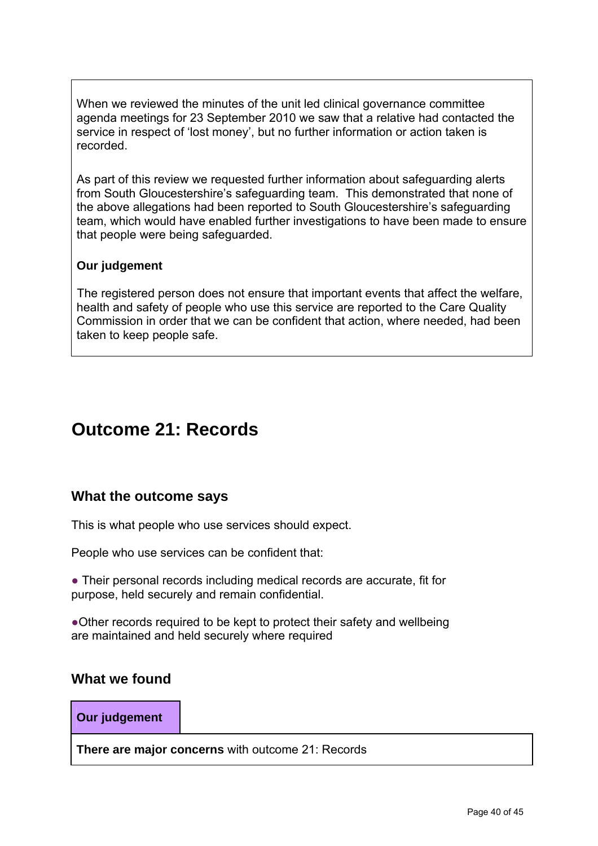When we reviewed the minutes of the unit led clinical governance committee agenda meetings for 23 September 2010 we saw that a relative had contacted the service in respect of 'lost money', but no further information or action taken is recorded.

As part of this review we requested further information about safeguarding alerts from South Gloucestershire's safeguarding team. This demonstrated that none of the above allegations had been reported to South Gloucestershire's safeguarding team, which would have enabled further investigations to have been made to ensure that people were being safeguarded.

## **Our judgement**

The registered person does not ensure that important events that affect the welfare, health and safety of people who use this service are reported to the Care Quality Commission in order that we can be confident that action, where needed, had been taken to keep people safe.

# **Outcome 21: Records**

# **What the outcome says**

This is what people who use services should expect.

People who use services can be confident that:

● Their personal records including medical records are accurate, fit for purpose, held securely and remain confidential.

●Other records required to be kept to protect their safety and wellbeing are maintained and held securely where required

## **What we found**

**Our judgement** 

**There are major concerns** with outcome 21: Records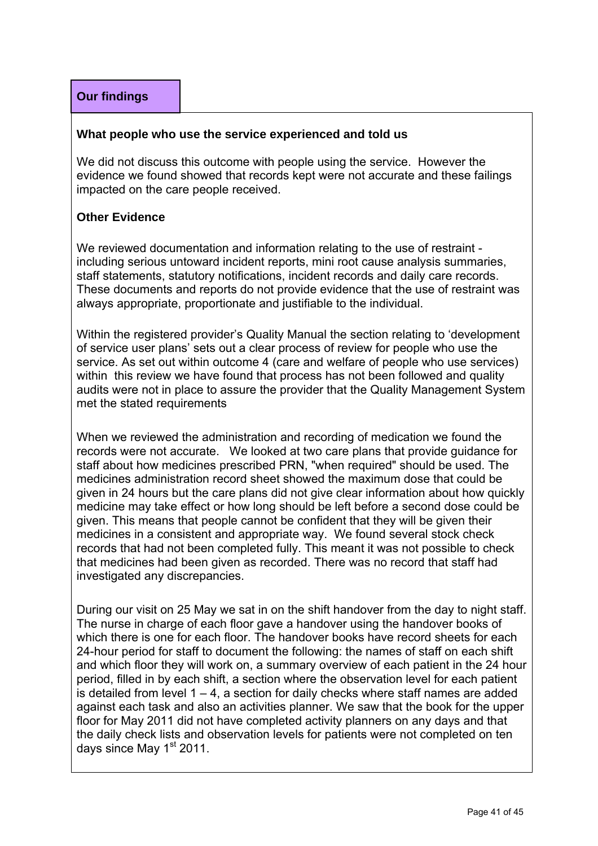#### **What people who use the service experienced and told us**

We did not discuss this outcome with people using the service. However the evidence we found showed that records kept were not accurate and these failings impacted on the care people received.

#### **Other Evidence**

We reviewed documentation and information relating to the use of restraint including serious untoward incident reports, mini root cause analysis summaries, staff statements, statutory notifications, incident records and daily care records. These documents and reports do not provide evidence that the use of restraint was always appropriate, proportionate and justifiable to the individual.

Within the registered provider's Quality Manual the section relating to 'development of service user plans' sets out a clear process of review for people who use the service. As set out within outcome 4 (care and welfare of people who use services) within this review we have found that process has not been followed and quality audits were not in place to assure the provider that the Quality Management System met the stated requirements

When we reviewed the administration and recording of medication we found the records were not accurate. We looked at two care plans that provide guidance for staff about how medicines prescribed PRN, "when required" should be used. The medicines administration record sheet showed the maximum dose that could be given in 24 hours but the care plans did not give clear information about how quickly medicine may take effect or how long should be left before a second dose could be given. This means that people cannot be confident that they will be given their medicines in a consistent and appropriate way. We found several stock check records that had not been completed fully. This meant it was not possible to check that medicines had been given as recorded. There was no record that staff had investigated any discrepancies.

During our visit on 25 May we sat in on the shift handover from the day to night staff. The nurse in charge of each floor gave a handover using the handover books of which there is one for each floor. The handover books have record sheets for each 24-hour period for staff to document the following: the names of staff on each shift and which floor they will work on, a summary overview of each patient in the 24 hour period, filled in by each shift, a section where the observation level for each patient is detailed from level  $1 - 4$ , a section for daily checks where staff names are added against each task and also an activities planner. We saw that the book for the upper floor for May 2011 did not have completed activity planners on any days and that the daily check lists and observation levels for patients were not completed on ten days since May  $1<sup>st</sup>$  2011.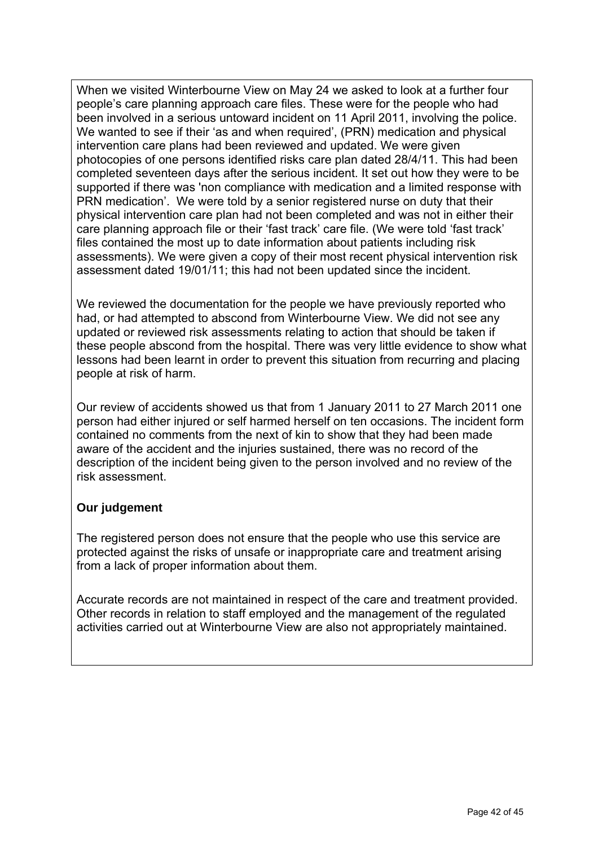When we visited Winterbourne View on May 24 we asked to look at a further four people's care planning approach care files. These were for the people who had been involved in a serious untoward incident on 11 April 2011, involving the police. We wanted to see if their 'as and when required', (PRN) medication and physical intervention care plans had been reviewed and updated. We were given photocopies of one persons identified risks care plan dated 28/4/11. This had been completed seventeen days after the serious incident. It set out how they were to be supported if there was 'non compliance with medication and a limited response with PRN medication'. We were told by a senior registered nurse on duty that their physical intervention care plan had not been completed and was not in either their care planning approach file or their 'fast track' care file. (We were told 'fast track' files contained the most up to date information about patients including risk assessments). We were given a copy of their most recent physical intervention risk assessment dated 19/01/11; this had not been updated since the incident.

We reviewed the documentation for the people we have previously reported who had, or had attempted to abscond from Winterbourne View. We did not see any updated or reviewed risk assessments relating to action that should be taken if these people abscond from the hospital. There was very little evidence to show what lessons had been learnt in order to prevent this situation from recurring and placing people at risk of harm.

Our review of accidents showed us that from 1 January 2011 to 27 March 2011 one person had either injured or self harmed herself on ten occasions. The incident form contained no comments from the next of kin to show that they had been made aware of the accident and the injuries sustained, there was no record of the description of the incident being given to the person involved and no review of the risk assessment.

# **Our judgement**

The registered person does not ensure that the people who use this service are protected against the risks of unsafe or inappropriate care and treatment arising from a lack of proper information about them.

Accurate records are not maintained in respect of the care and treatment provided. Other records in relation to staff employed and the management of the regulated activities carried out at Winterbourne View are also not appropriately maintained.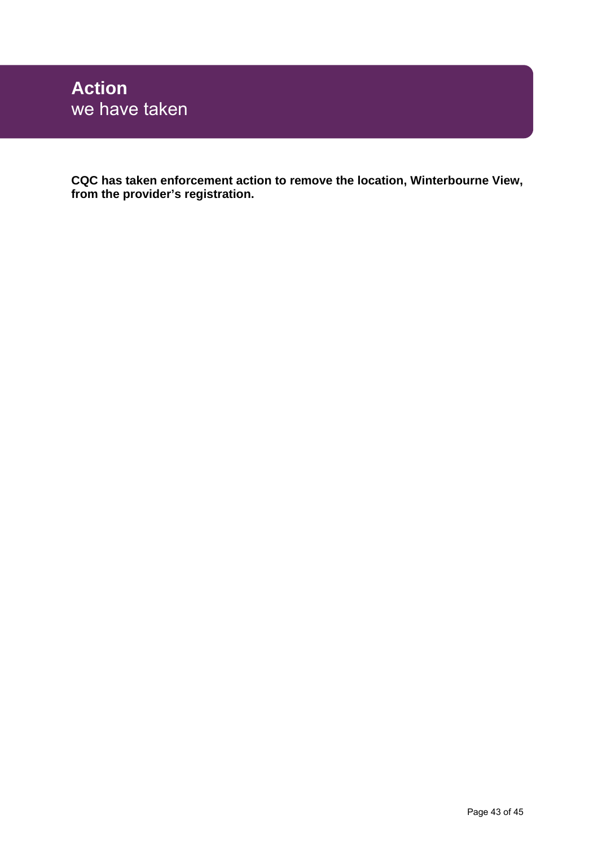**CQC has taken enforcement action to remove the location, Winterbourne View, from the provider's registration.**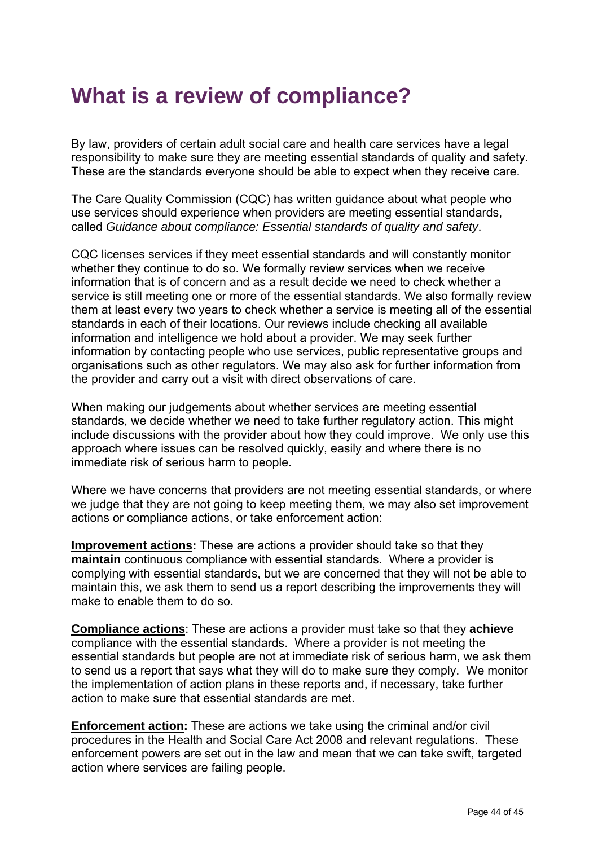# **What is a review of compliance?**

By law, providers of certain adult social care and health care services have a legal responsibility to make sure they are meeting essential standards of quality and safety. These are the standards everyone should be able to expect when they receive care.

The Care Quality Commission (CQC) has written guidance about what people who use services should experience when providers are meeting essential standards, called *Guidance about compliance: Essential standards of quality and safety*.

CQC licenses services if they meet essential standards and will constantly monitor whether they continue to do so. We formally review services when we receive information that is of concern and as a result decide we need to check whether a service is still meeting one or more of the essential standards. We also formally review them at least every two years to check whether a service is meeting all of the essential standards in each of their locations. Our reviews include checking all available information and intelligence we hold about a provider. We may seek further information by contacting people who use services, public representative groups and organisations such as other regulators. We may also ask for further information from the provider and carry out a visit with direct observations of care.

When making our judgements about whether services are meeting essential standards, we decide whether we need to take further regulatory action. This might include discussions with the provider about how they could improve. We only use this approach where issues can be resolved quickly, easily and where there is no immediate risk of serious harm to people.

Where we have concerns that providers are not meeting essential standards, or where we judge that they are not going to keep meeting them, we may also set improvement actions or compliance actions, or take enforcement action:

**Improvement actions:** These are actions a provider should take so that they **maintain** continuous compliance with essential standards. Where a provider is complying with essential standards, but we are concerned that they will not be able to maintain this, we ask them to send us a report describing the improvements they will make to enable them to do so.

**Compliance actions**: These are actions a provider must take so that they **achieve** compliance with the essential standards. Where a provider is not meeting the essential standards but people are not at immediate risk of serious harm, we ask them to send us a report that says what they will do to make sure they comply. We monitor the implementation of action plans in these reports and, if necessary, take further action to make sure that essential standards are met.

**Enforcement action:** These are actions we take using the criminal and/or civil procedures in the Health and Social Care Act 2008 and relevant regulations. These enforcement powers are set out in the law and mean that we can take swift, targeted action where services are failing people.